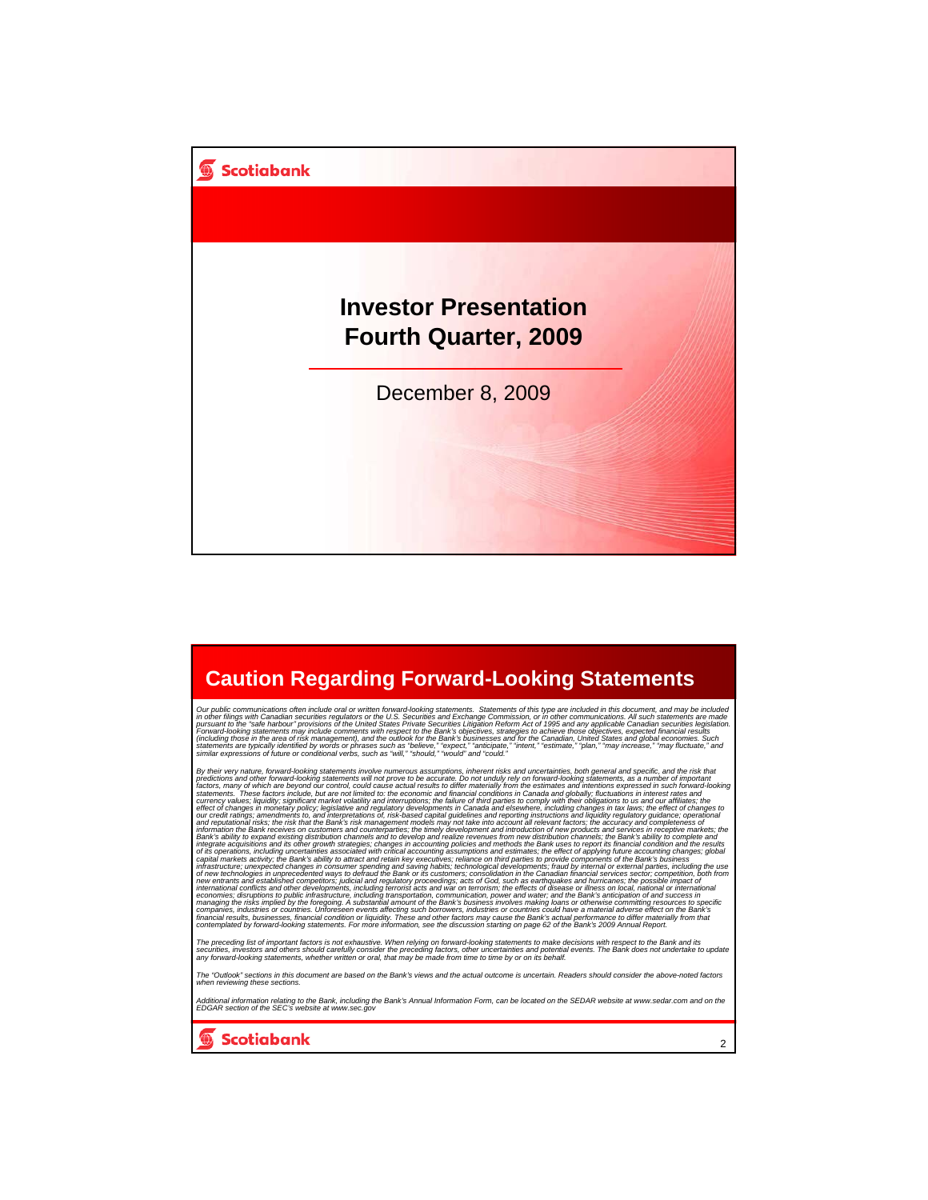

#### **Caution Regarding Forward-Looking Statements**

Our public communications often include oral or written forward-looking statements (Statements of this type are included in this document, and may be included in this document, and may be included in this official of pure statements are typically identified by words or phrases such as "believe," "expect," "anticipate," "hent," "estimate," "plan," "may increase," "may fluctuate," and<br>similar expressions of future or conditional verbs, such a

By their very nature, forward-looking statements involve numerous assumptions, inherent risks and uncertainties, both general and specific, and the risk that the risk that the risk that performance in the risk that the ris capital markets activity; the Bank's ability to attract and retains the step in the partion of the market of the market builder in the market builder in the market building the step in the market of the market building the international conflicts and other developments, including terrorist acts and war on terrorism; the effects of disease or illness on local, national oristmational economies; disruptions to public infrastructure, including t

The preceding list of important factors is not exhaustive. When relying on forward-looking statements to make decisions with respect to the Bank and its<br>securities, investors and others should carefully consider the preced

*The "Outlook" sections in this document are based on the Bank's views and the actual outcome is uncertain. Readers should consider the above-noted factors when reviewing these sections.*

Additional information relating to the Bank, including the Bank's Annual Information Form, can be located on the SEDAR website at www.sedar.com and on the<br>EDGAR section of the SEC's website at www.sec.gov

**Scotiabank**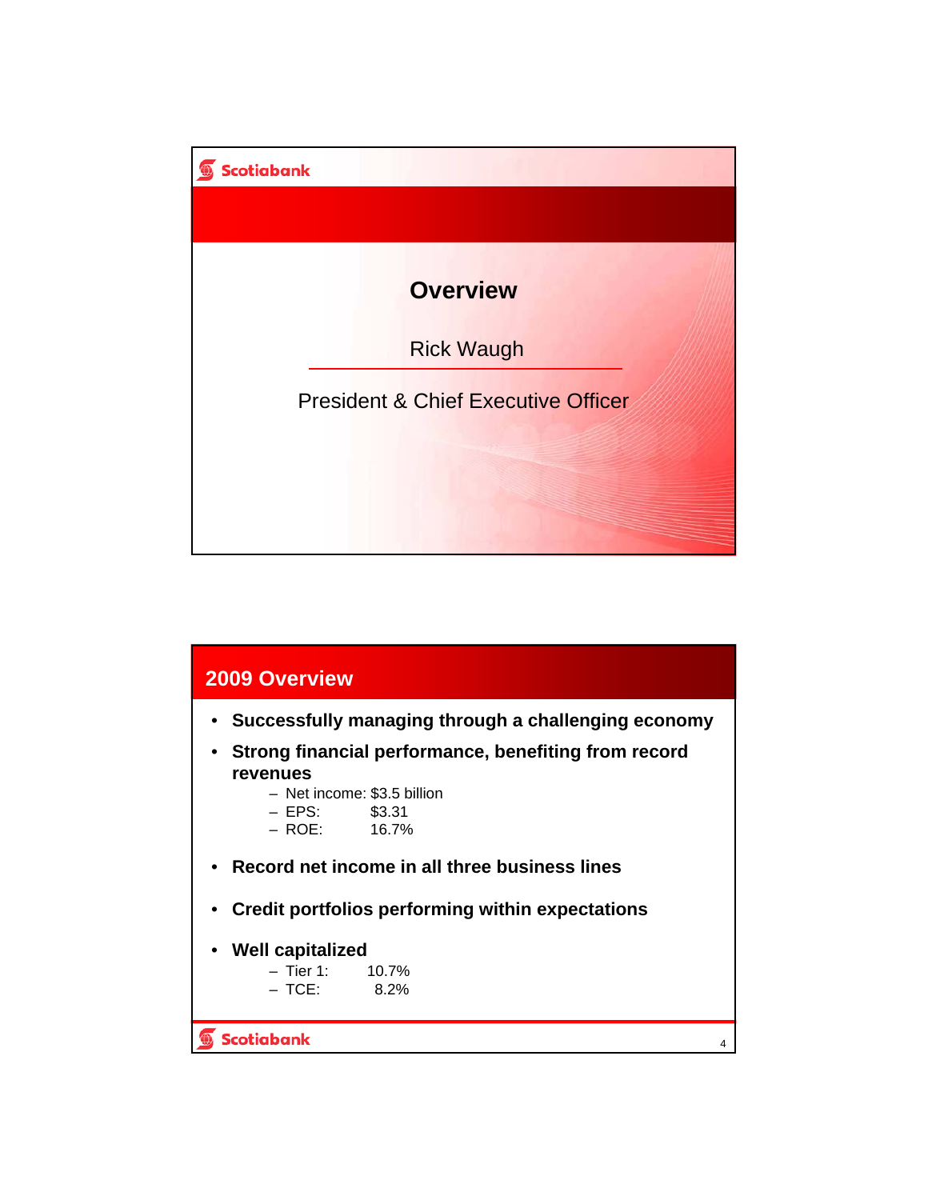

| <b>2009 Overview</b>                                                                                                                       |  |
|--------------------------------------------------------------------------------------------------------------------------------------------|--|
| Successfully managing through a challenging economy                                                                                        |  |
| • Strong financial performance, benefiting from record<br>revenues<br>- Net income: \$3.5 billion<br>$-$ EPS: $$3.31$<br>$-$ ROE: $16.7\%$ |  |
| • Record net income in all three business lines<br>Credit portfolios performing within expectations                                        |  |
| • Well capitalized                                                                                                                         |  |
| $-$ Tier 1: 10.7%<br>$-TCE$ : 8.2%                                                                                                         |  |
| Scotiabank<br>4                                                                                                                            |  |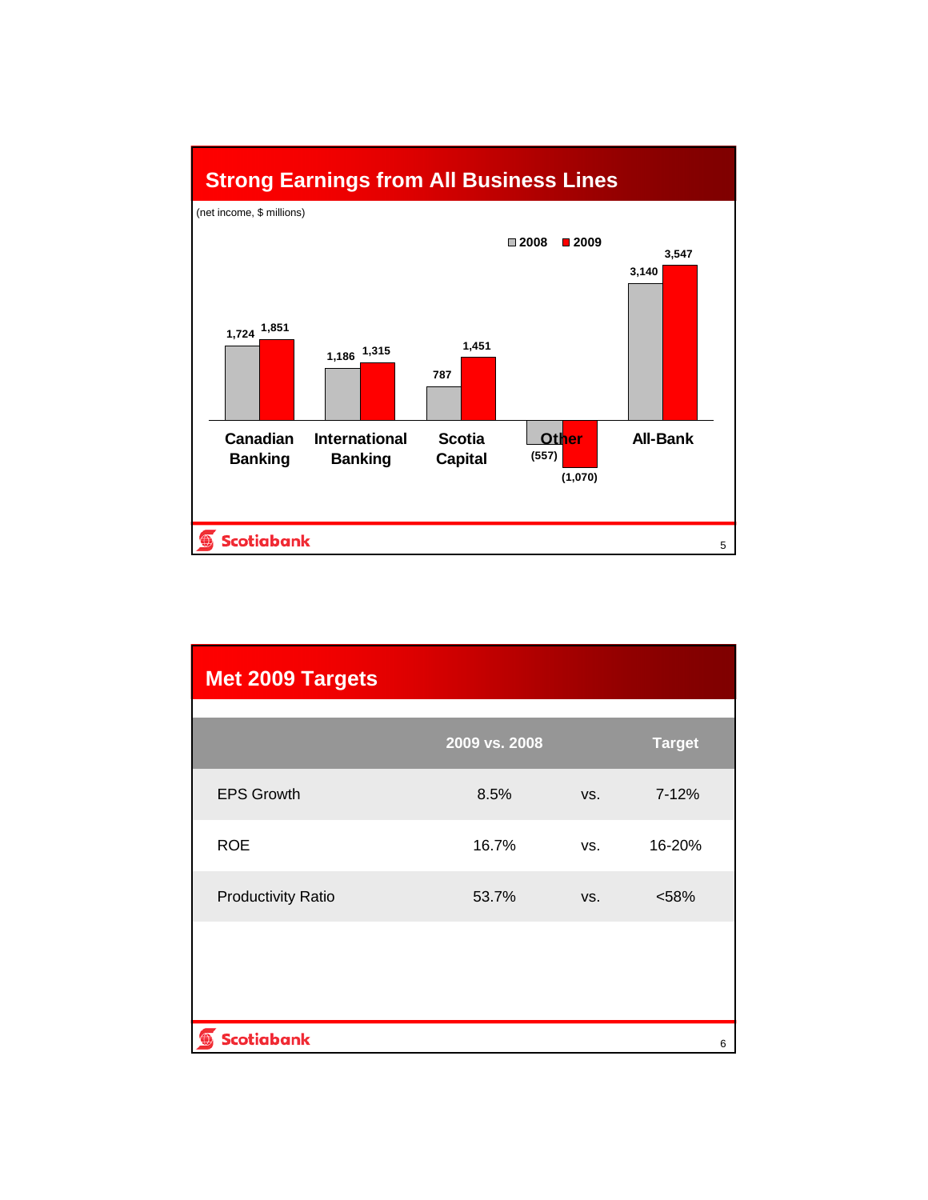

| <b>Met 2009 Targets</b>   |               |     |               |
|---------------------------|---------------|-----|---------------|
|                           |               |     |               |
|                           | 2009 vs. 2008 |     | <b>Target</b> |
| <b>EPS Growth</b>         | 8.5%          | VS. | 7-12%         |
| <b>ROE</b>                | 16.7%         | VS. | 16-20%        |
| <b>Productivity Ratio</b> | 53.7%         | VS. | < 58%         |
|                           |               |     |               |
|                           |               |     |               |
| <b>Scotiabank</b>         |               |     | 6             |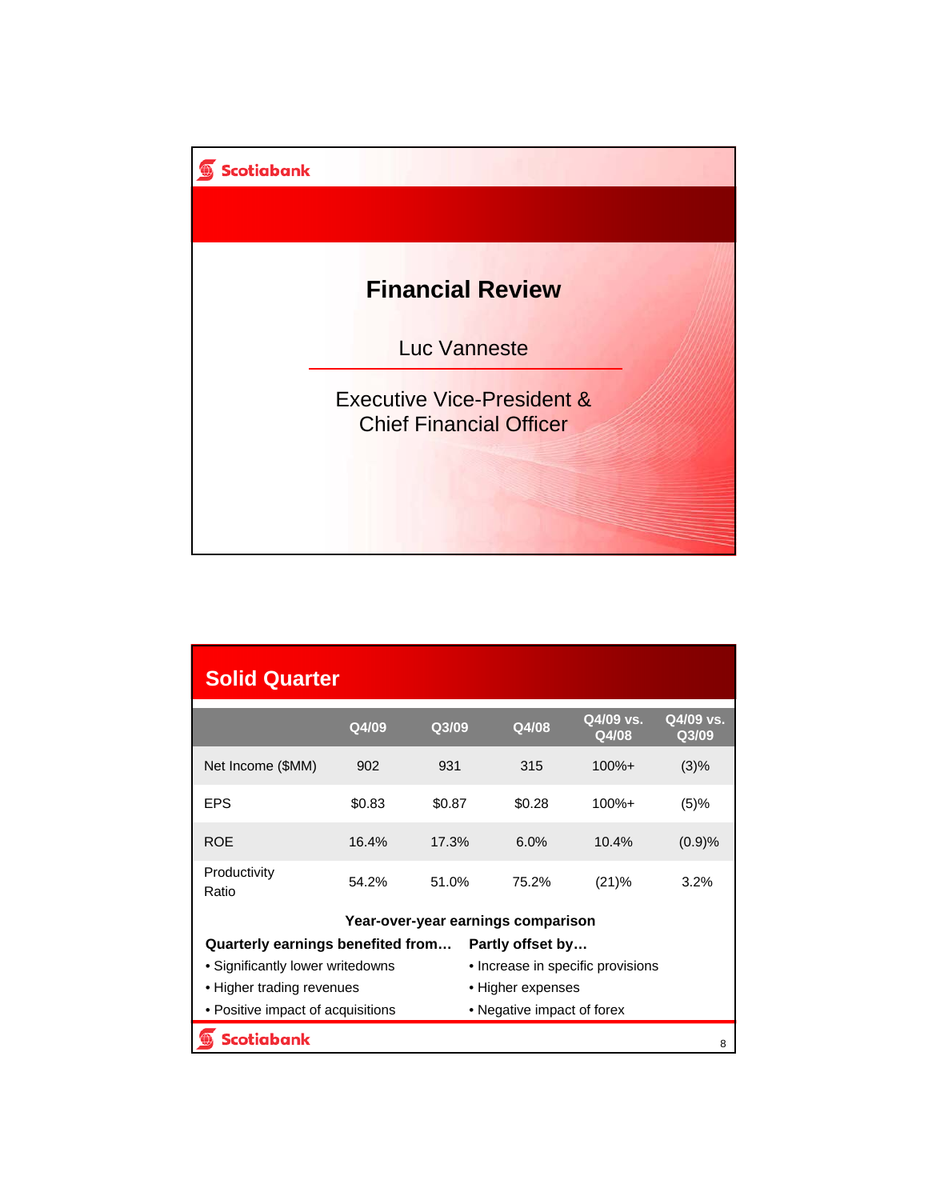

| <b>Solid Quarter</b>              |                   |                                    |                            |                                   |                    |
|-----------------------------------|-------------------|------------------------------------|----------------------------|-----------------------------------|--------------------|
|                                   | Q4/09             | Q3/09                              | Q4/08                      | Q4/09 vs.<br>Q4/08                | Q4/09 vs.<br>Q3/09 |
| Net Income (\$MM)                 | 902               | 931                                | 315                        | $100% +$                          | (3)%               |
| <b>EPS</b>                        | \$0.83            | \$0.87                             | \$0.28                     | $100%+$                           | (5)%               |
| <b>ROE</b>                        | 16.4%             | 17.3%                              | 6.0%                       | 10.4%                             | (0.9)%             |
| Productivity<br>Ratio             | 54.2%             | 51.0%                              | 75.2%                      | (21)%                             | 3.2%               |
|                                   |                   | Year-over-year earnings comparison |                            |                                   |                    |
| Quarterly earnings benefited from |                   |                                    | Partly offset by           |                                   |                    |
| • Significantly lower writedowns  |                   |                                    |                            | • Increase in specific provisions |                    |
| • Higher trading revenues         | • Higher expenses |                                    |                            |                                   |                    |
| • Positive impact of acquisitions |                   |                                    | • Negative impact of forex |                                   |                    |
| <b>Scotiabank</b>                 |                   |                                    |                            |                                   | 8                  |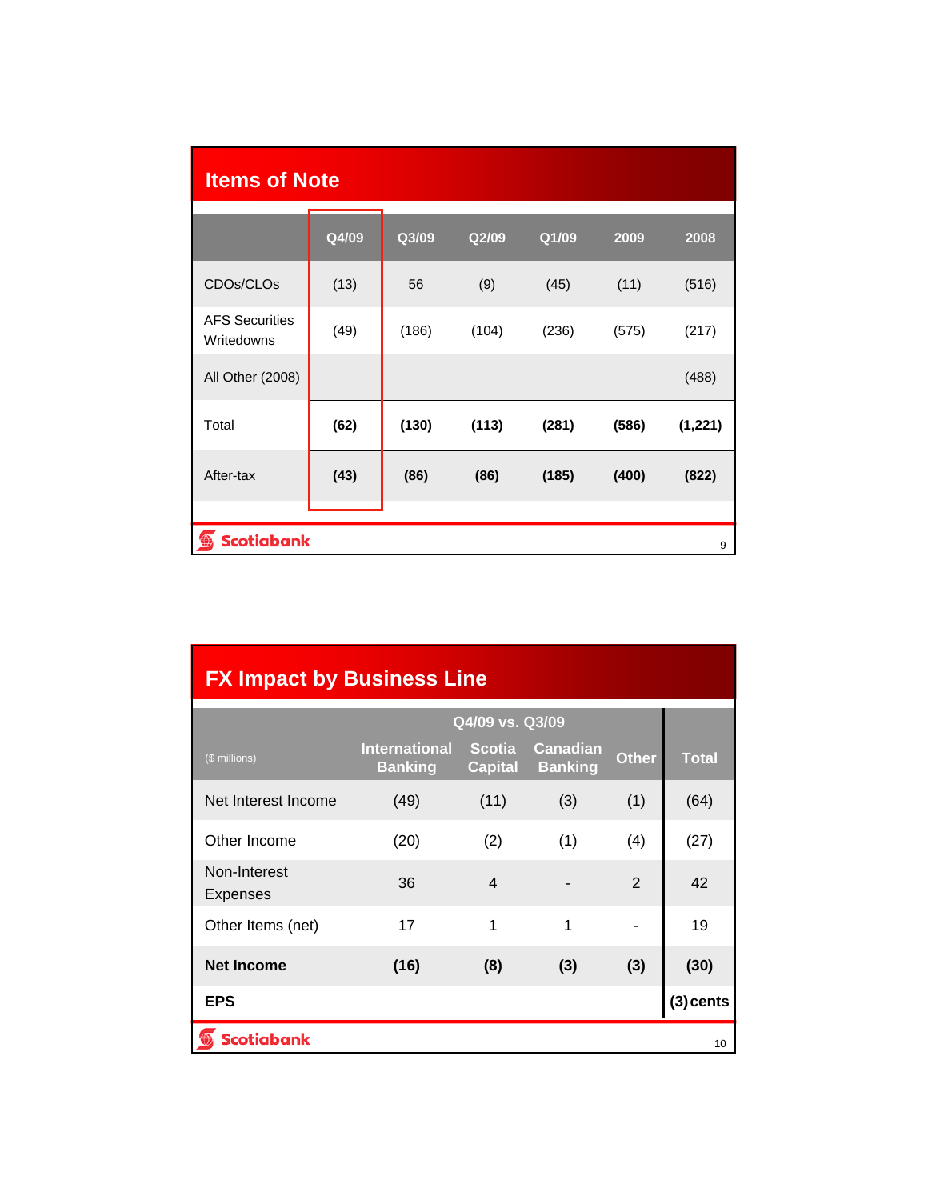| <b>Items of Note</b>                |       |       |       |       |       |          |
|-------------------------------------|-------|-------|-------|-------|-------|----------|
|                                     | Q4/09 | Q3/09 | Q2/09 | Q1/09 | 2009  | 2008     |
| CDOs/CLOs                           | (13)  | 56    | (9)   | (45)  | (11)  | (516)    |
| <b>AFS Securities</b><br>Writedowns | (49)  | (186) | (104) | (236) | (575) | (217)    |
| All Other (2008)                    |       |       |       |       |       | (488)    |
| Total                               | (62)  | (130) | (113) | (281) | (586) | (1, 221) |
| After-tax                           | (43)  | (86)  | (86)  | (185) | (400) | (822)    |
|                                     |       |       |       |       |       |          |
| <b>Scotiabank</b>                   |       |       |       |       |       | 9        |

| <b>FX Impact by Business Line</b> |                                        |                                 |                            |                |              |  |
|-----------------------------------|----------------------------------------|---------------------------------|----------------------------|----------------|--------------|--|
|                                   |                                        | Q4/09 vs. Q3/09                 |                            |                |              |  |
| (\$ millions)                     | <b>International</b><br><b>Banking</b> | <b>Scotia</b><br><b>Capital</b> | Canadian<br><b>Banking</b> | <b>Other</b>   | <b>Total</b> |  |
| Net Interest Income               | (49)                                   | (11)                            | (3)                        | (1)            | (64)         |  |
| Other Income                      | (20)                                   | (2)                             | (1)                        | (4)            | (27)         |  |
| Non-Interest<br><b>Expenses</b>   | 36                                     | 4                               |                            | $\overline{2}$ | 42           |  |
| Other Items (net)                 | 17                                     | 1                               | 1                          |                | 19           |  |
| <b>Net Income</b>                 | (16)                                   | (8)                             | (3)                        | (3)            | (30)         |  |
| <b>EPS</b>                        |                                        |                                 |                            |                | (3) cents    |  |
| <b>Scotiabank</b>                 |                                        |                                 |                            |                | 10           |  |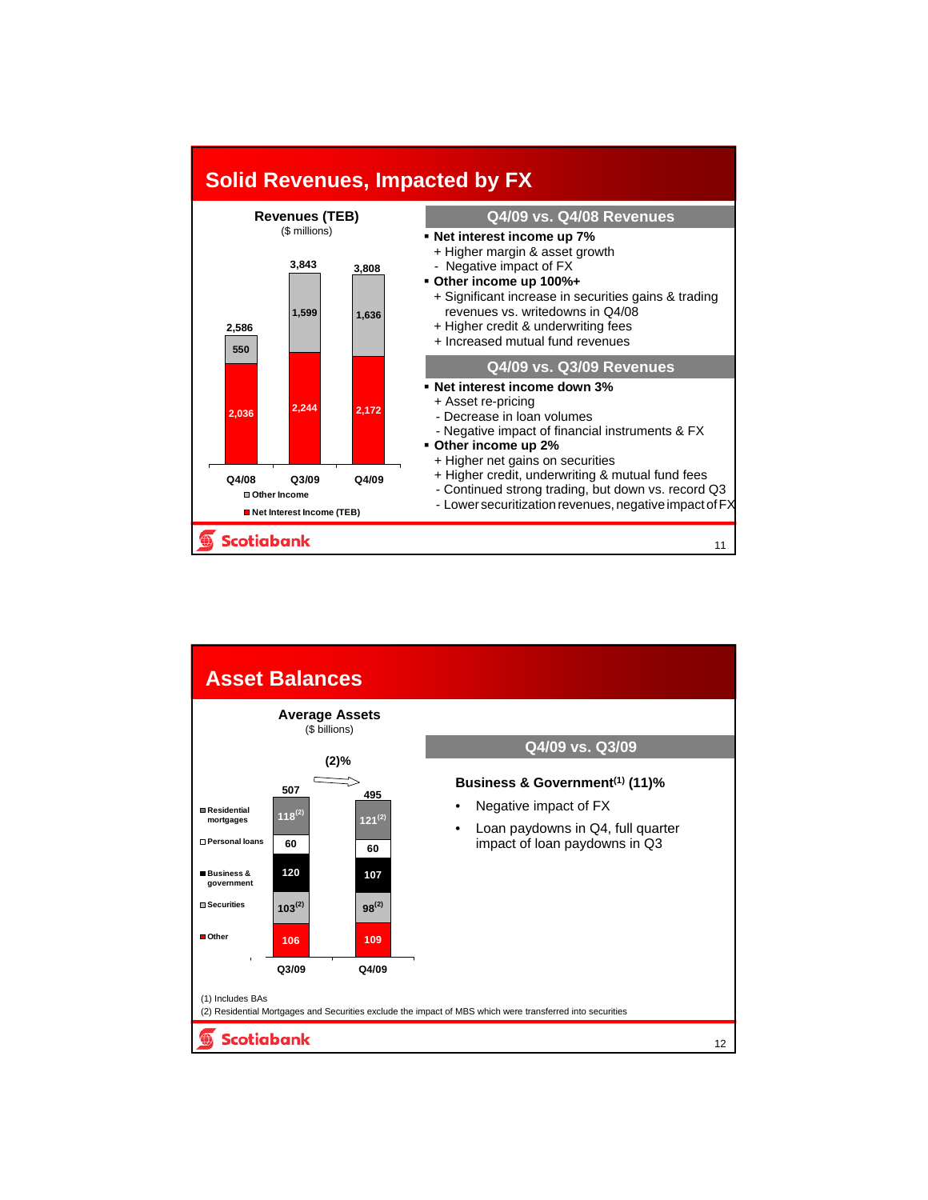

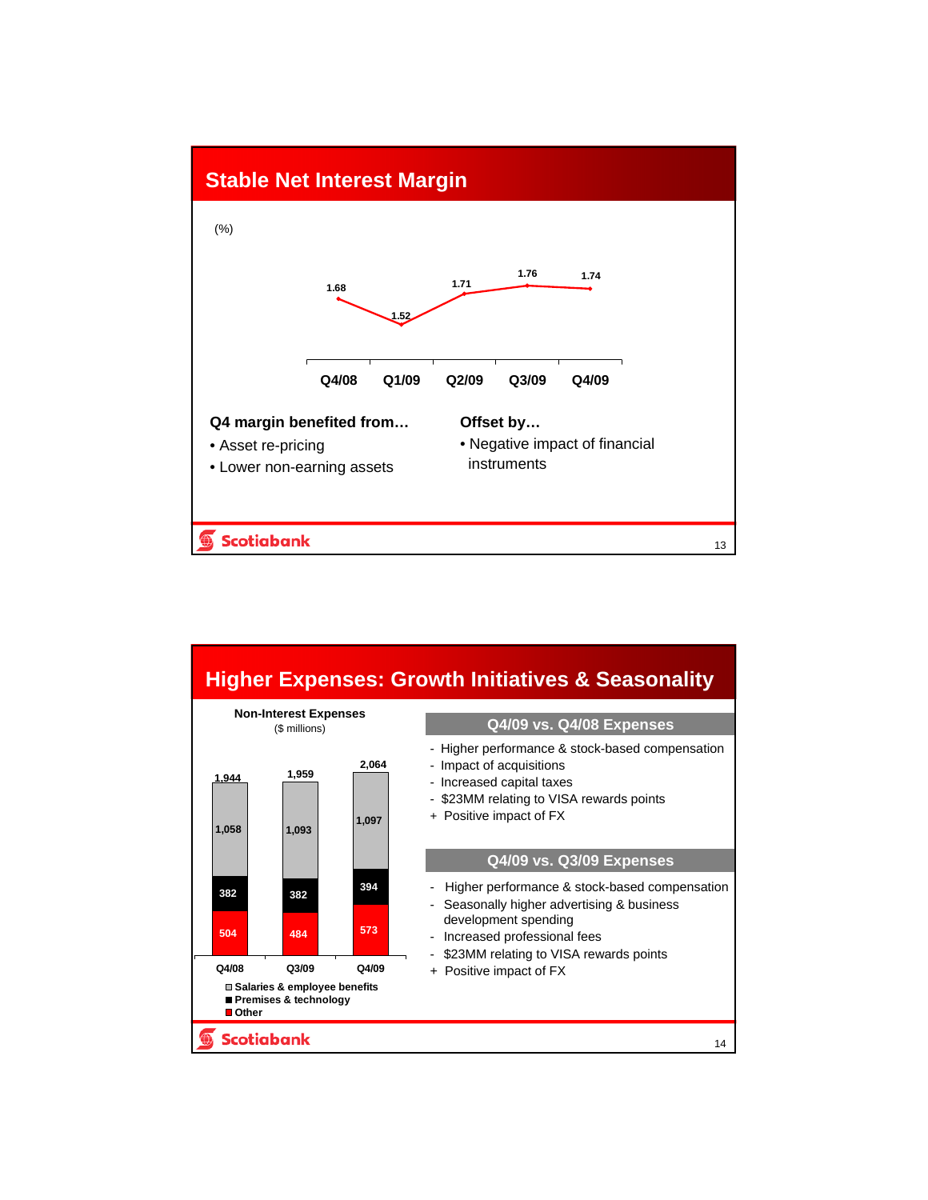

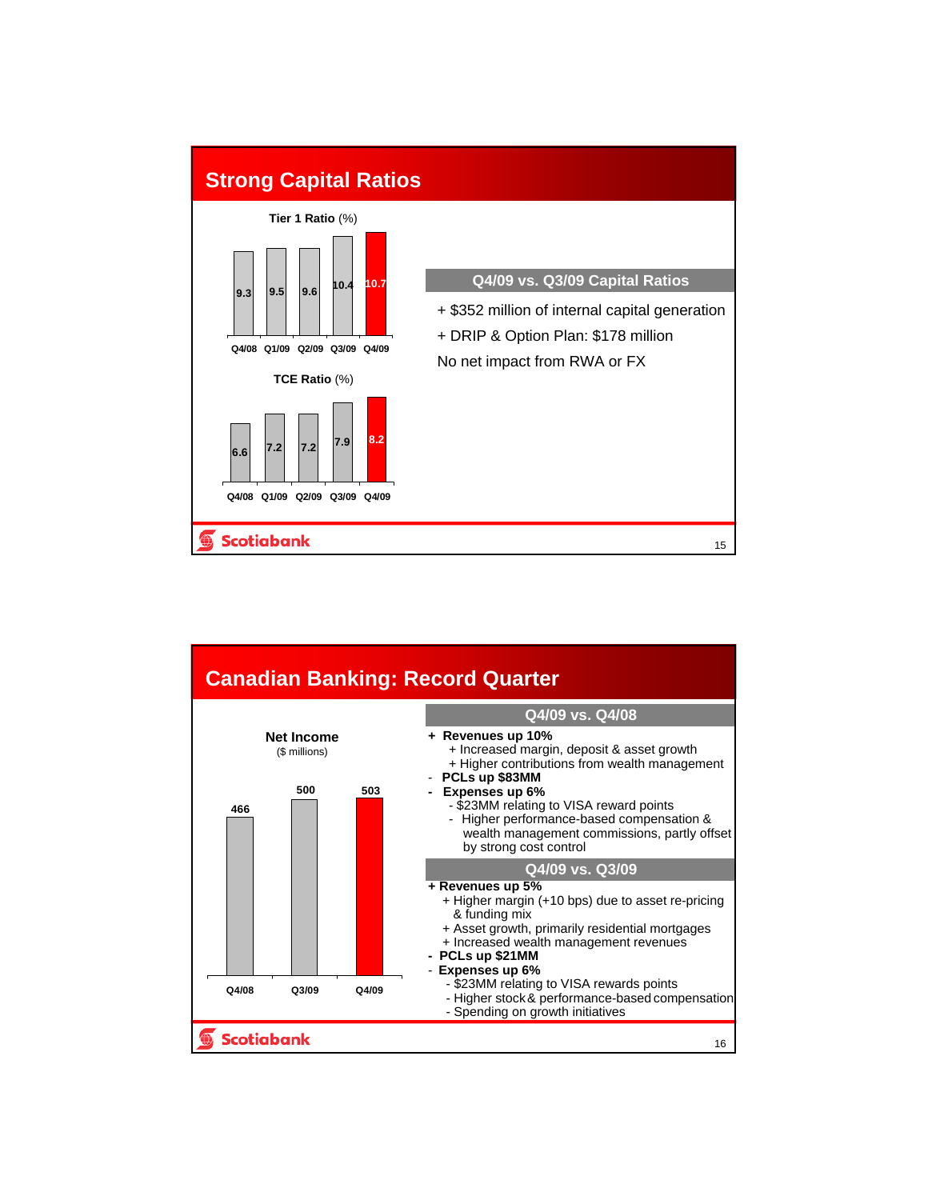

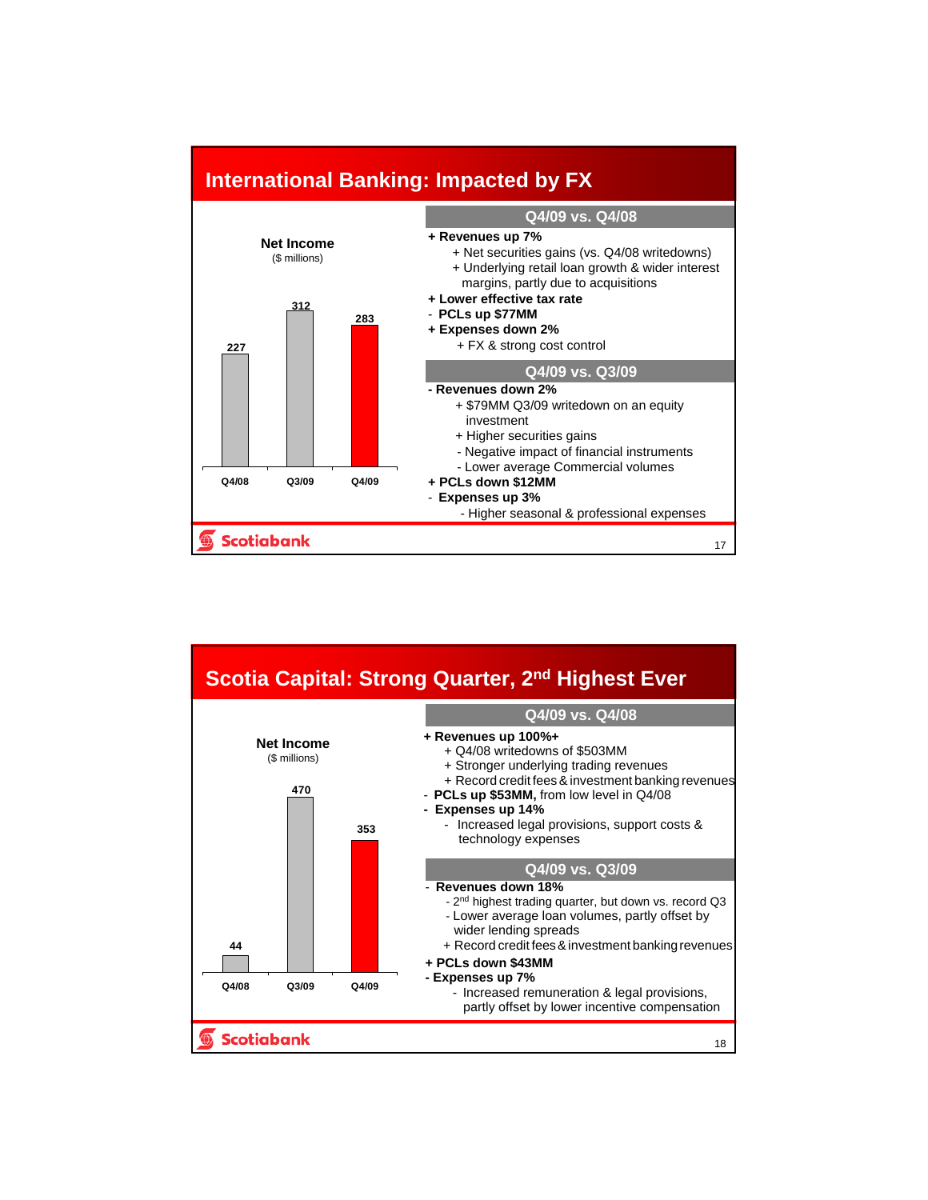

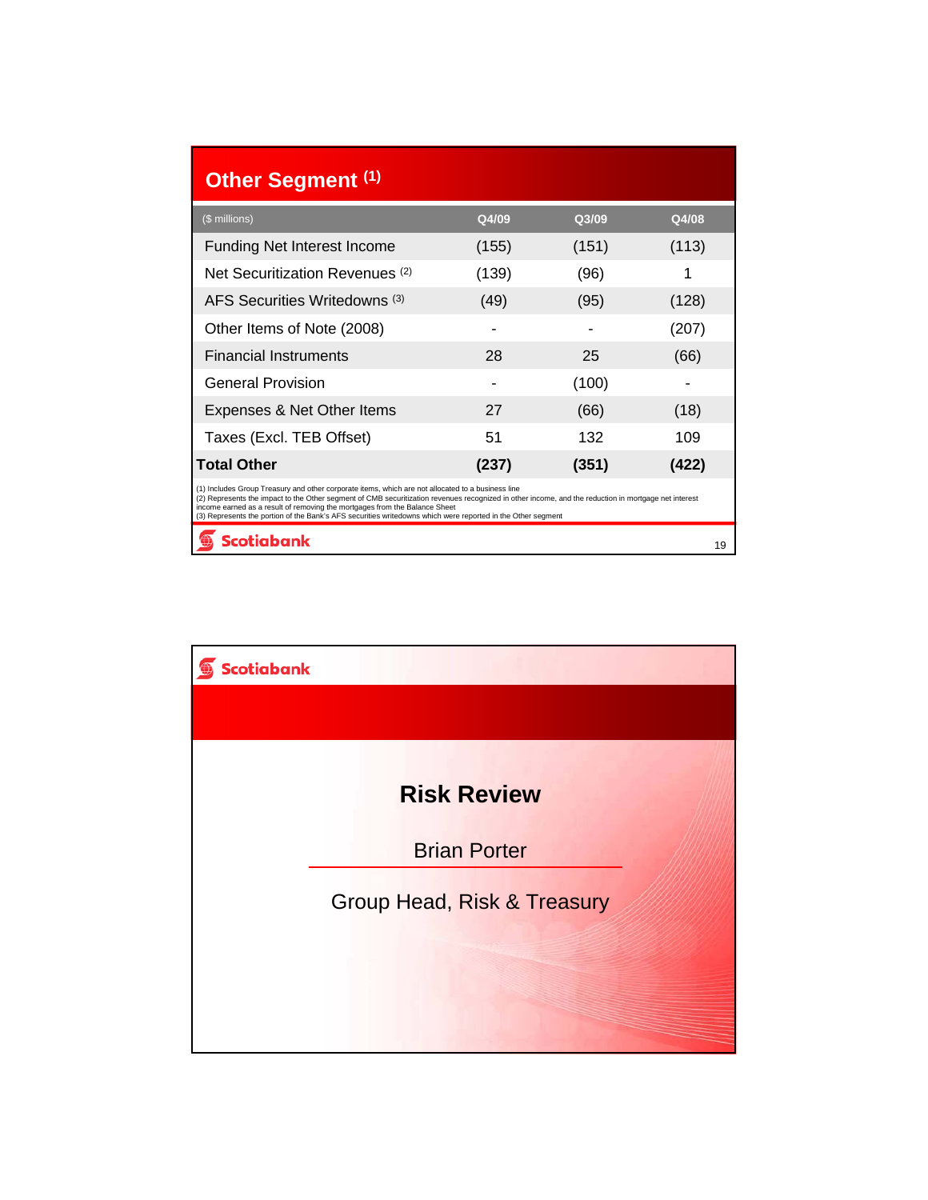| Other Segment (1)                                                                                                                                                                                                                                                                                                                                                                                                                                      |       |       |       |
|--------------------------------------------------------------------------------------------------------------------------------------------------------------------------------------------------------------------------------------------------------------------------------------------------------------------------------------------------------------------------------------------------------------------------------------------------------|-------|-------|-------|
| (\$ millions)                                                                                                                                                                                                                                                                                                                                                                                                                                          | Q4/09 | Q3/09 | Q4/08 |
| <b>Funding Net Interest Income</b>                                                                                                                                                                                                                                                                                                                                                                                                                     | (155) | (151) | (113) |
| Net Securitization Revenues (2)                                                                                                                                                                                                                                                                                                                                                                                                                        | (139) | (96)  |       |
| AFS Securities Writedowns (3)                                                                                                                                                                                                                                                                                                                                                                                                                          | (49)  | (95)  | (128) |
| Other Items of Note (2008)                                                                                                                                                                                                                                                                                                                                                                                                                             |       |       | (207) |
| <b>Financial Instruments</b>                                                                                                                                                                                                                                                                                                                                                                                                                           | 28    | 25    | (66)  |
| <b>General Provision</b>                                                                                                                                                                                                                                                                                                                                                                                                                               |       | (100) |       |
| Expenses & Net Other Items                                                                                                                                                                                                                                                                                                                                                                                                                             | 27    | (66)  | (18)  |
| Taxes (Excl. TEB Offset)                                                                                                                                                                                                                                                                                                                                                                                                                               | 51    | 132   | 109   |
| <b>Total Other</b>                                                                                                                                                                                                                                                                                                                                                                                                                                     | (237) | (351) | (422) |
| (1) Includes Group Treasury and other corporate items, which are not allocated to a business line<br>(2) Represents the impact to the Other segment of CMB securitization revenues recognized in other income, and the reduction in mortgage net interest<br>income earned as a result of removing the mortgages from the Balance Sheet<br>(3) Represents the portion of the Bank's AFS securities writedowns which were reported in the Other segment |       |       |       |
| <b>Scotiabank</b>                                                                                                                                                                                                                                                                                                                                                                                                                                      |       |       | 19    |

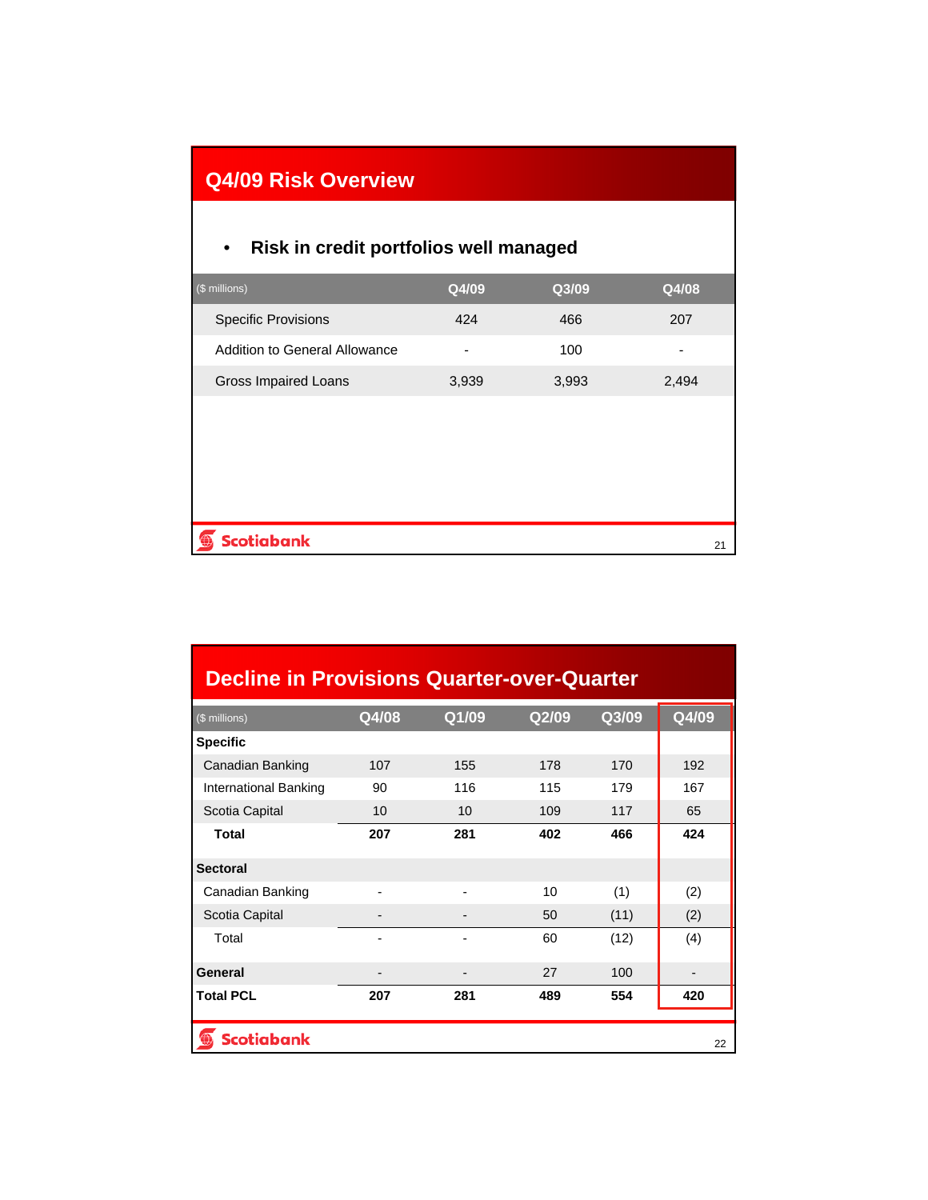# **Q4/09 Risk Overview**

### • **Risk in credit portfolios well managed**

| (\$ millions)                 | Q4/09                    | Q3/09 | Q4/08 |
|-------------------------------|--------------------------|-------|-------|
| <b>Specific Provisions</b>    | 424                      | 466   | 207   |
| Addition to General Allowance | $\overline{\phantom{0}}$ | 100   | -     |
| <b>Gross Impaired Loans</b>   | 3,939                    | 3,993 | 2,494 |
|                               |                          |       |       |
|                               |                          |       |       |

21

Scotiabank

### **Decline in Provisions Quarter-over-Quarter**

| (\$ millions)         | Q4/08 | Q1/09 | Q2/09 | Q3/09 | Q4/09 |
|-----------------------|-------|-------|-------|-------|-------|
| <b>Specific</b>       |       |       |       |       |       |
| Canadian Banking      | 107   | 155   | 178   | 170   | 192   |
| International Banking | 90    | 116   | 115   | 179   | 167   |
| Scotia Capital        | 10    | 10    | 109   | 117   | 65    |
| <b>Total</b>          | 207   | 281   | 402   | 466   | 424   |
| <b>Sectoral</b>       |       |       |       |       |       |
| Canadian Banking      |       |       | 10    | (1)   | (2)   |
| Scotia Capital        |       |       | 50    | (11)  | (2)   |
| Total                 |       |       | 60    | (12)  | (4)   |
| General               |       |       | 27    | 100   |       |
| <b>Total PCL</b>      | 207   | 281   | 489   | 554   | 420   |
|                       |       |       |       |       |       |
| <b>Scotiabank</b>     |       |       |       |       | 22    |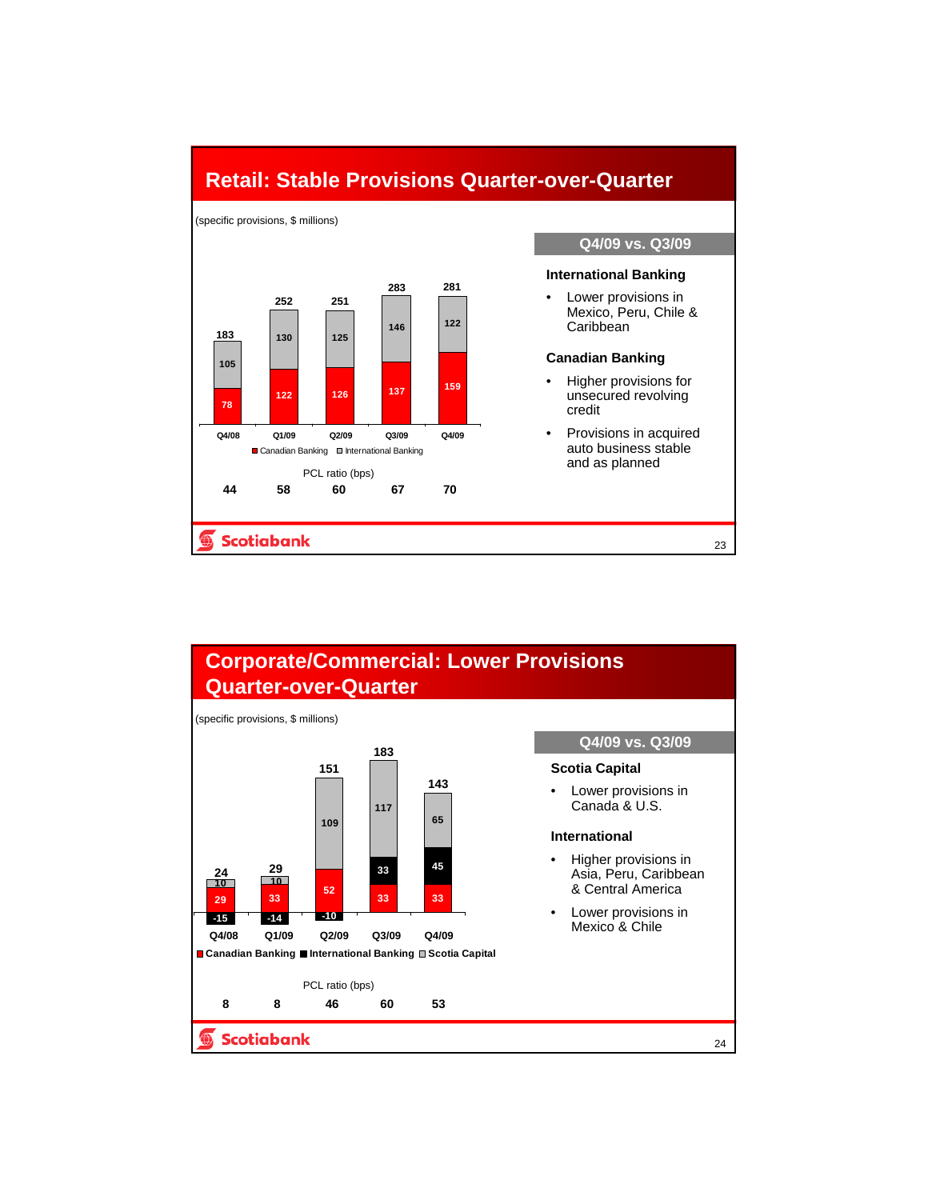

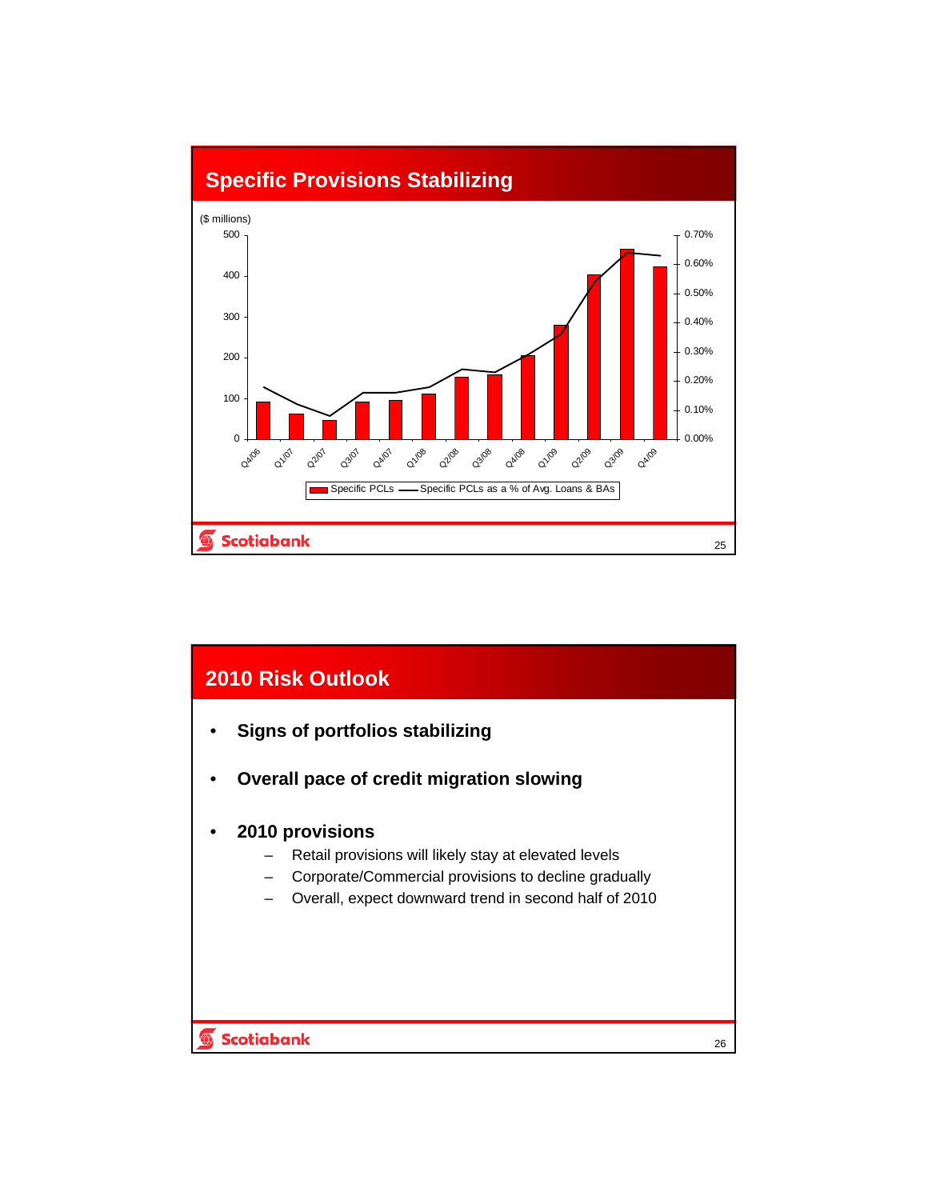

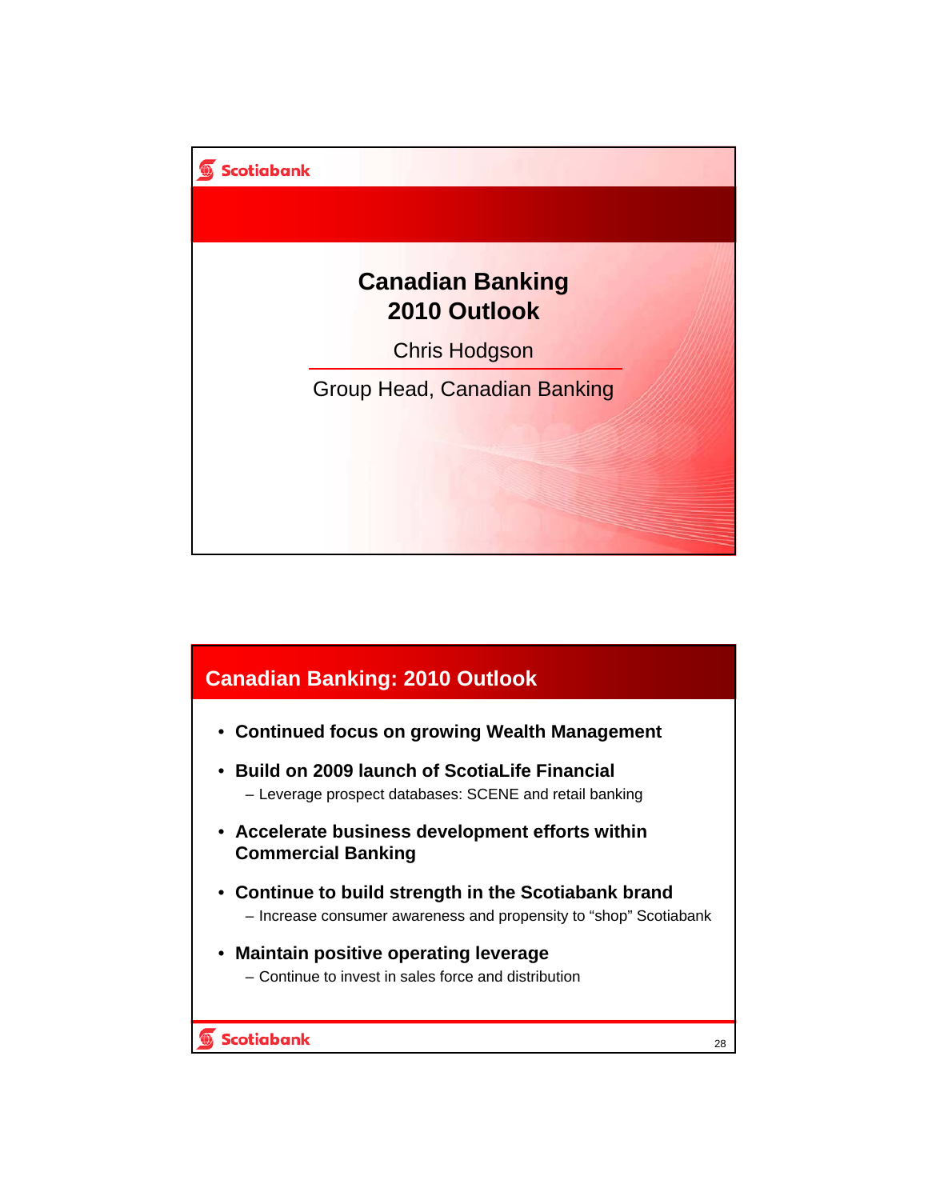

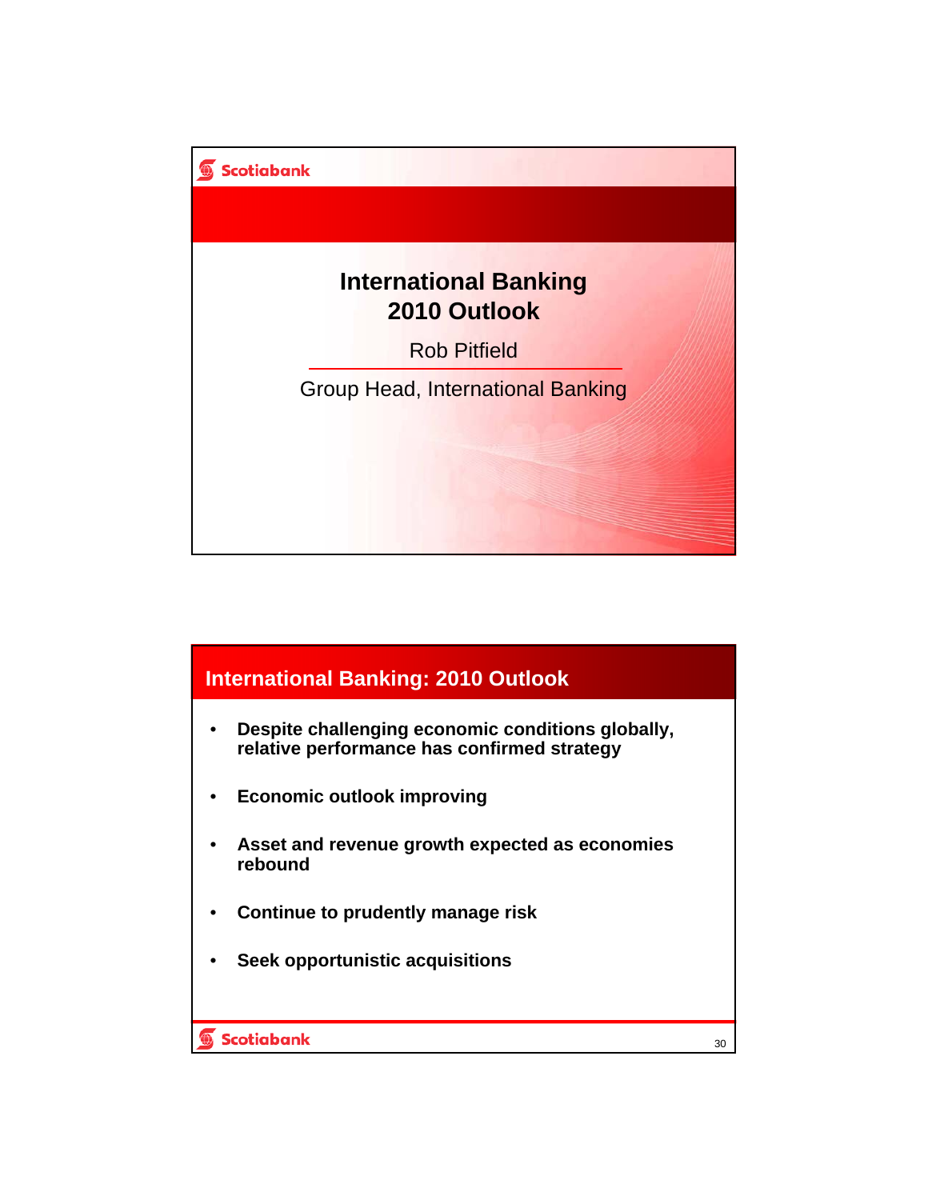

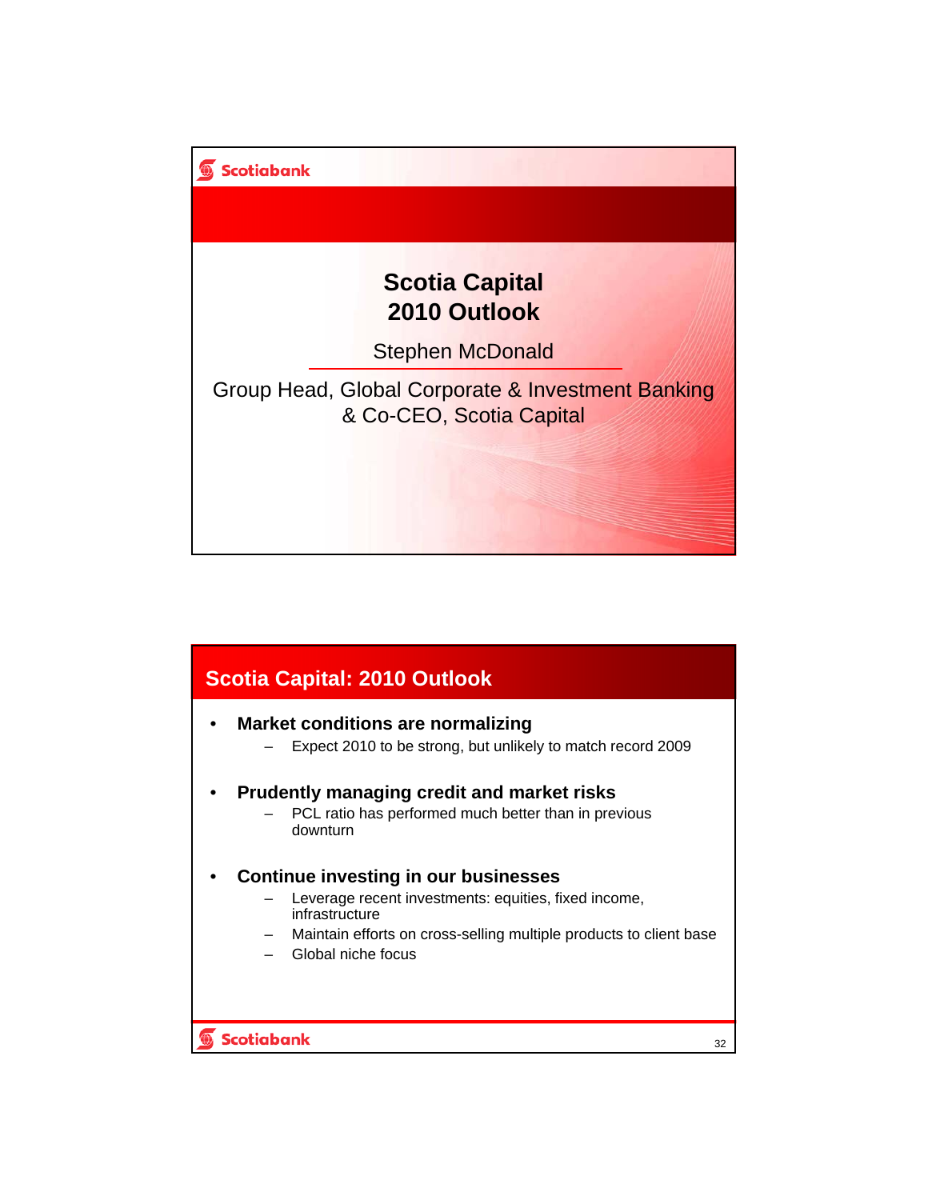

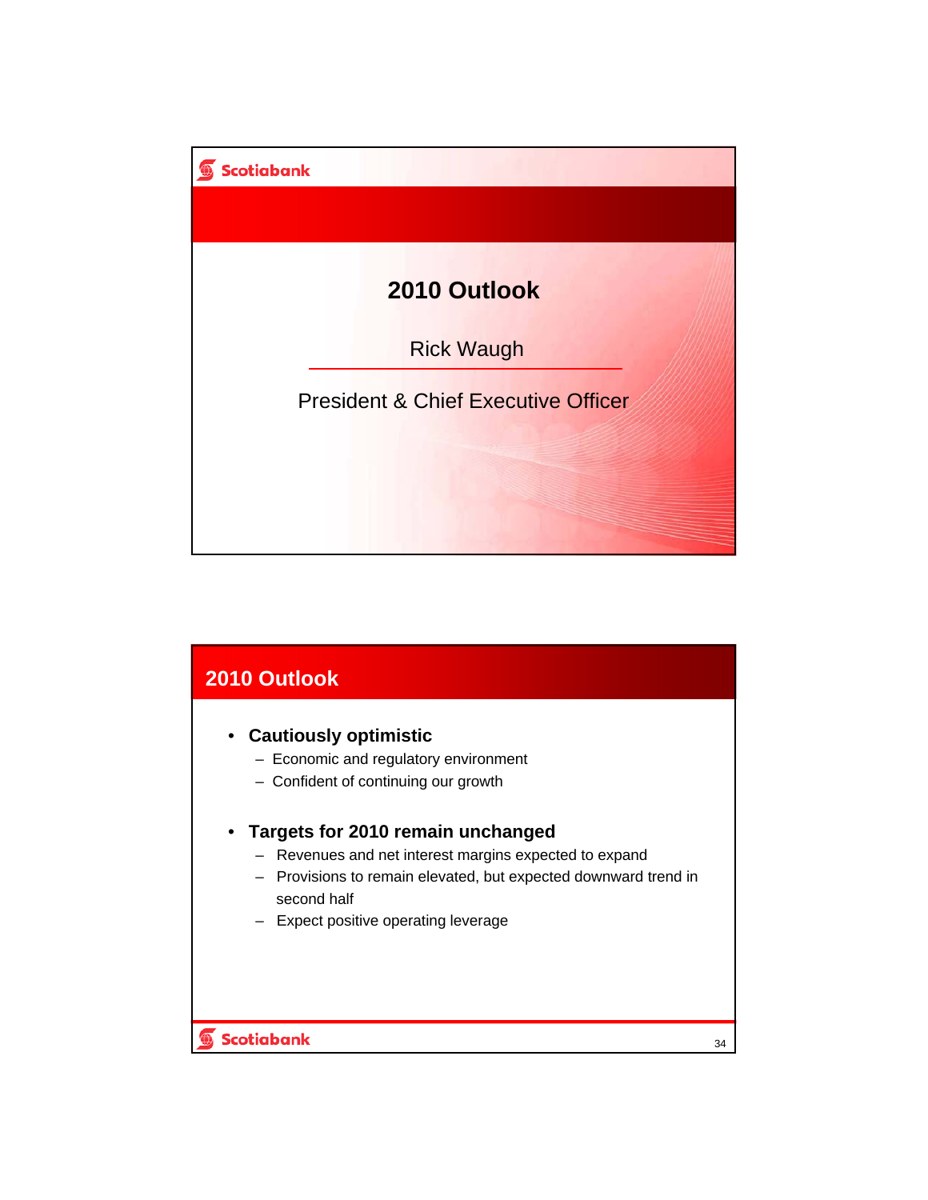

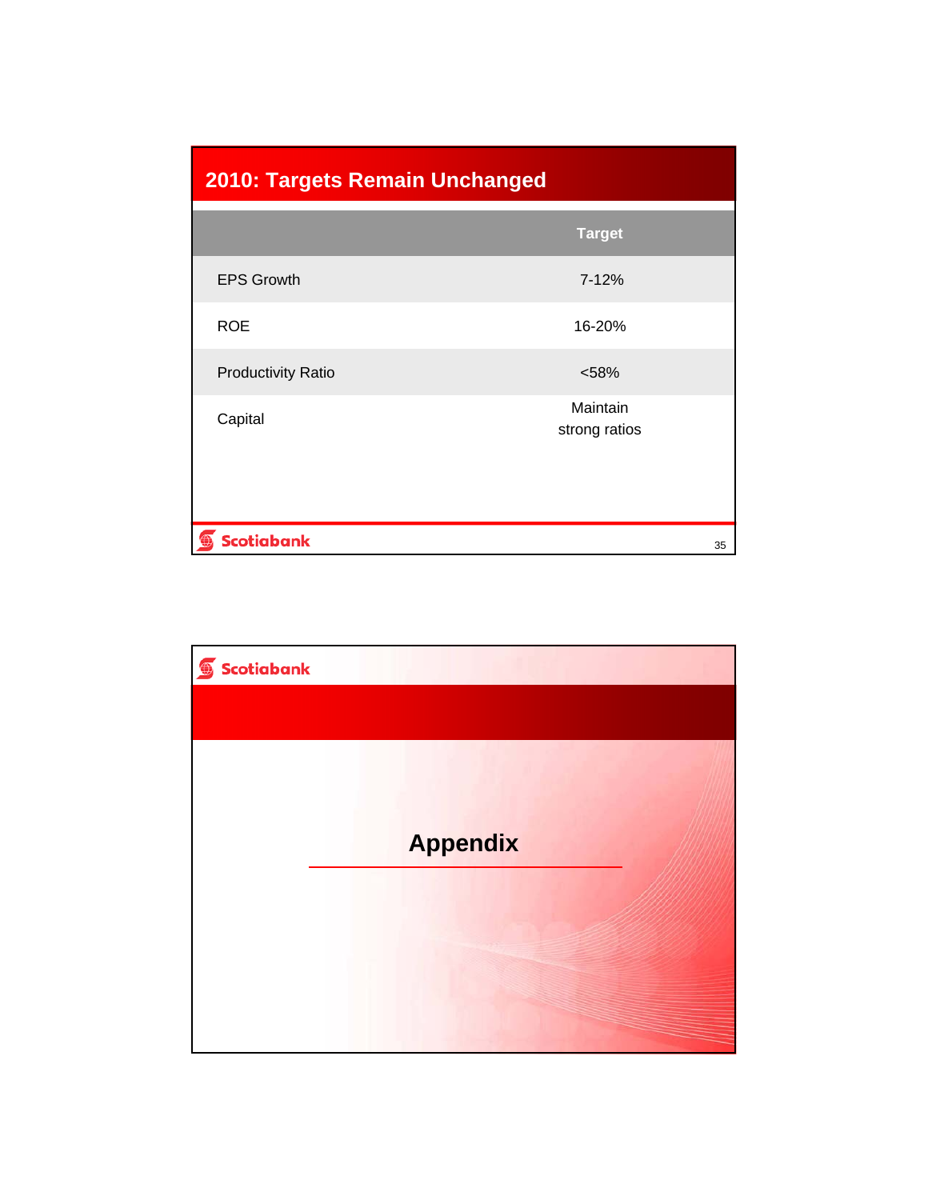| 2010: Targets Remain Unchanged |                           |  |  |  |  |
|--------------------------------|---------------------------|--|--|--|--|
|                                | <b>Target</b>             |  |  |  |  |
| <b>EPS Growth</b>              | 7-12%                     |  |  |  |  |
| <b>ROE</b>                     | 16-20%                    |  |  |  |  |
| <b>Productivity Ratio</b>      | < 58%                     |  |  |  |  |
| Capital                        | Maintain<br>strong ratios |  |  |  |  |
| <b>Scotiabank</b>              | 35                        |  |  |  |  |

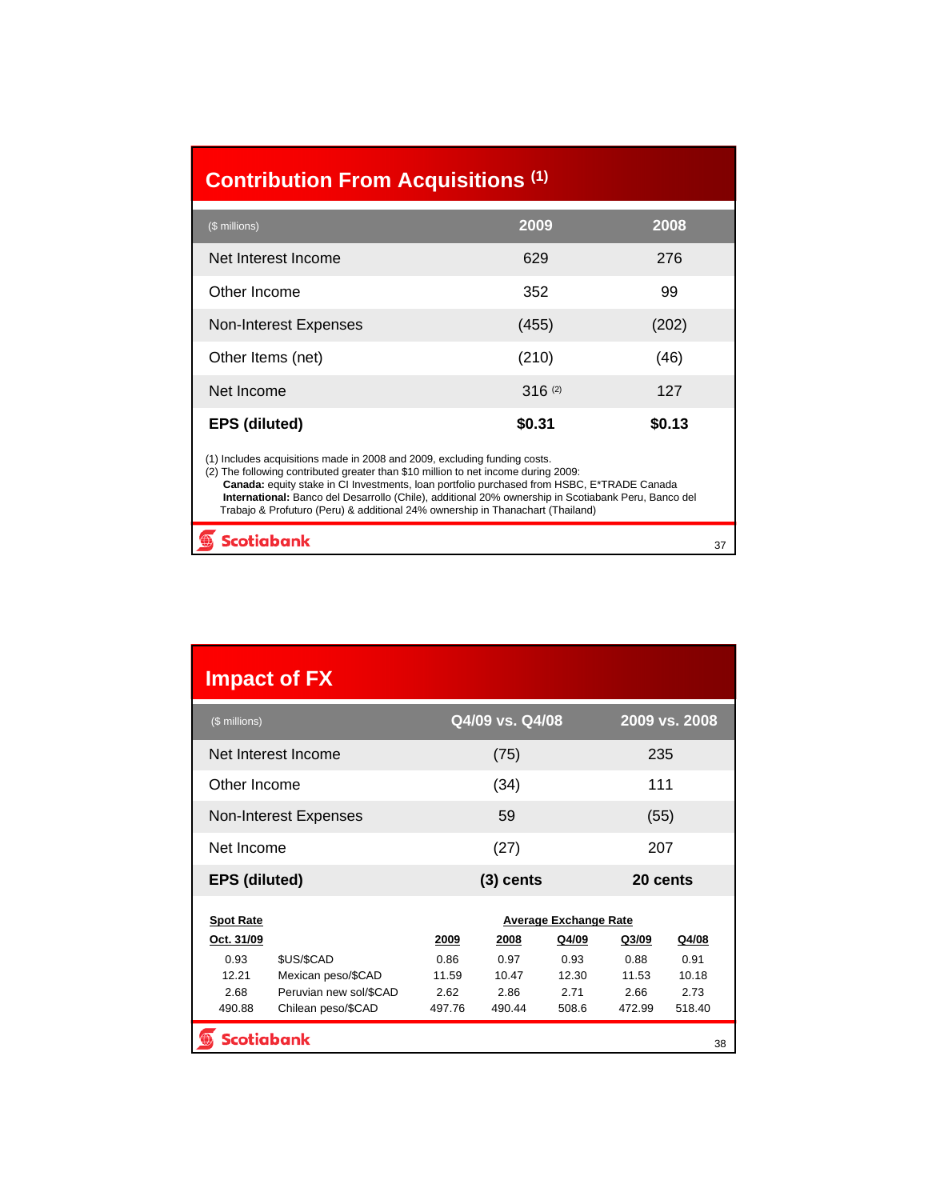## **Contribution From Acquisitions (1)**

**Scotiabank** 

| (\$ millions)                                                                                                                                                                                                                                                                                                                                                                                                                                                 | 2009        | 2008   |
|---------------------------------------------------------------------------------------------------------------------------------------------------------------------------------------------------------------------------------------------------------------------------------------------------------------------------------------------------------------------------------------------------------------------------------------------------------------|-------------|--------|
| Net Interest Income                                                                                                                                                                                                                                                                                                                                                                                                                                           | 629         | 276    |
| Other Income                                                                                                                                                                                                                                                                                                                                                                                                                                                  | 352         | 99     |
| Non-Interest Expenses                                                                                                                                                                                                                                                                                                                                                                                                                                         | (455)       | (202)  |
| Other Items (net)                                                                                                                                                                                                                                                                                                                                                                                                                                             | (210)       | (46)   |
| Net Income                                                                                                                                                                                                                                                                                                                                                                                                                                                    | $316^{(2)}$ | 127    |
| <b>EPS (diluted)</b>                                                                                                                                                                                                                                                                                                                                                                                                                                          | \$0.31      | \$0.13 |
| (1) Includes acquisitions made in 2008 and 2009, excluding funding costs.<br>(2) The following contributed greater than \$10 million to net income during 2009:<br><b>Canada:</b> equity stake in CI Investments, loan portfolio purchased from HSBC, E*TRADE Canada<br>International: Banco del Desarrollo (Chile), additional 20% ownership in Scotiabank Peru, Banco del<br>Trabajo & Profuturo (Peru) & additional 24% ownership in Thanachart (Thailand) |             |        |

37

**Impact of FXQ4/09 vs. Q4/08 2009 vs. 2008** (\$ millions) Net Interest Income (75) 235 Other Income 111 (34) Non-Interest Expenses 59 (55) Net Income (27) 207 **EPS (diluted) (3) cents 20 cents Spot Rate Average Exchange Rate Oct. 31/09 2009 2008 Q4/09 Q4/08 Q3/09** 0.93 0.93 0.88 \$US/\$CAD 0.86 0.97 0.93 0.88 0.91 12.21 Mexican peso/\$CAD 11.59 10.47 12.30 11.53 10.18 2.68 Peruvian new sol/\$CAD 2.62 2.86 2.71 2.66 2.73 490.88 Chilean peso/\$CAD 497.76 490.44 508.6 472.99 518.40 Scotiabank 38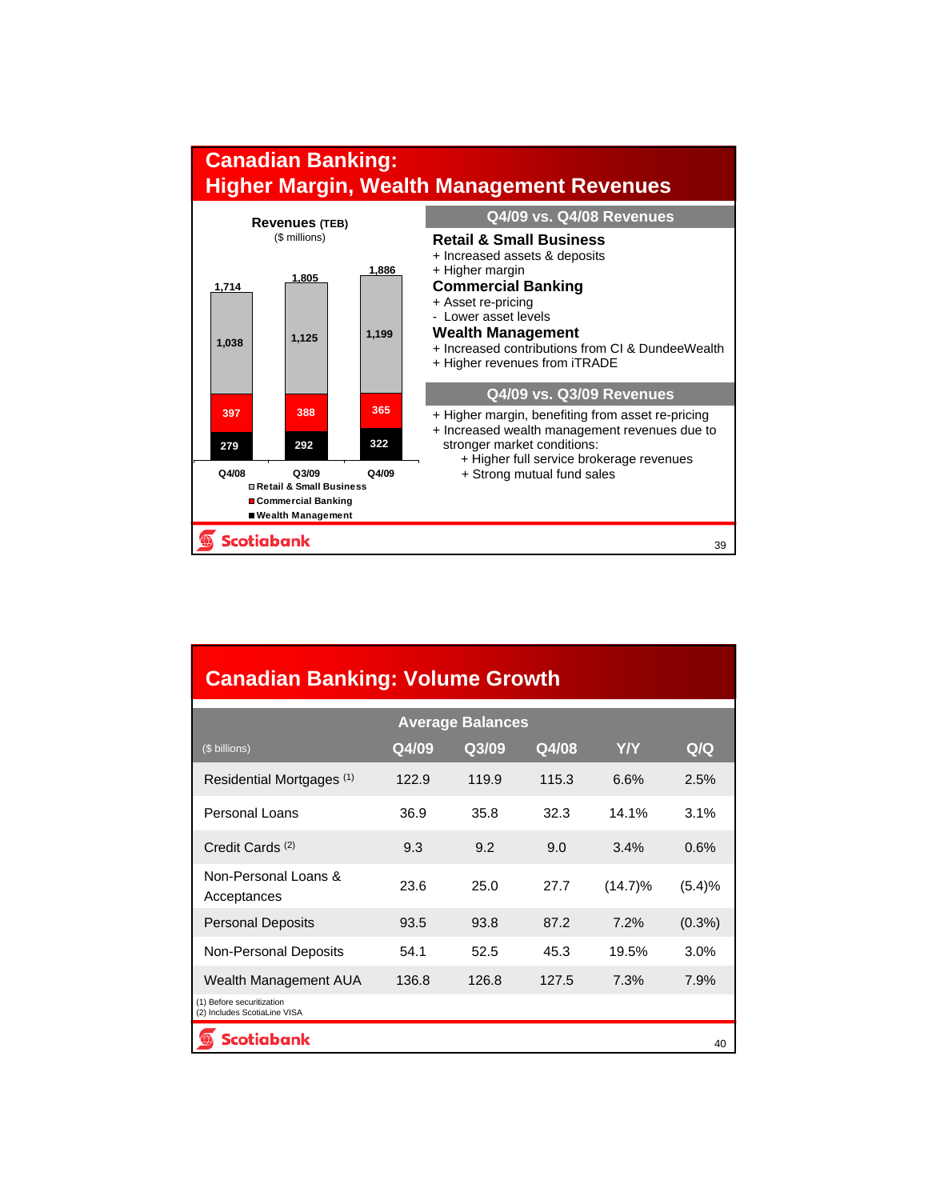

| <b>Canadian Banking: Volume Growth</b>                    |       |                         |       |            |           |  |
|-----------------------------------------------------------|-------|-------------------------|-------|------------|-----------|--|
|                                                           |       | <b>Average Balances</b> |       |            |           |  |
| (\$ billions)                                             | Q4/09 | Q3/09                   | Q4/08 | <b>Y/Y</b> | Q/Q       |  |
| Residential Mortgages (1)                                 | 122.9 | 119.9                   | 115.3 | 6.6%       | 2.5%      |  |
| Personal Loans                                            | 36.9  | 35.8                    | 32.3  | 14.1%      | 3.1%      |  |
| Credit Cards <sup>(2)</sup>                               | 9.3   | 9.2                     | 9.0   | 3.4%       | 0.6%      |  |
| Non-Personal Loans &<br>Acceptances                       | 23.6  | 25.0                    | 27.7  | $(14.7)\%$ | (5.4)%    |  |
| <b>Personal Deposits</b>                                  | 93.5  | 93.8                    | 87.2  | 7.2%       | $(0.3\%)$ |  |
| Non-Personal Deposits                                     | 54.1  | 52.5                    | 45.3  | 19.5%      | 3.0%      |  |
| Wealth Management AUA                                     | 136.8 | 126.8                   | 127.5 | 7.3%       | 7.9%      |  |
| (1) Before securitization<br>(2) Includes ScotiaLine VISA |       |                         |       |            |           |  |
| Scotiabank                                                |       |                         |       |            | 40        |  |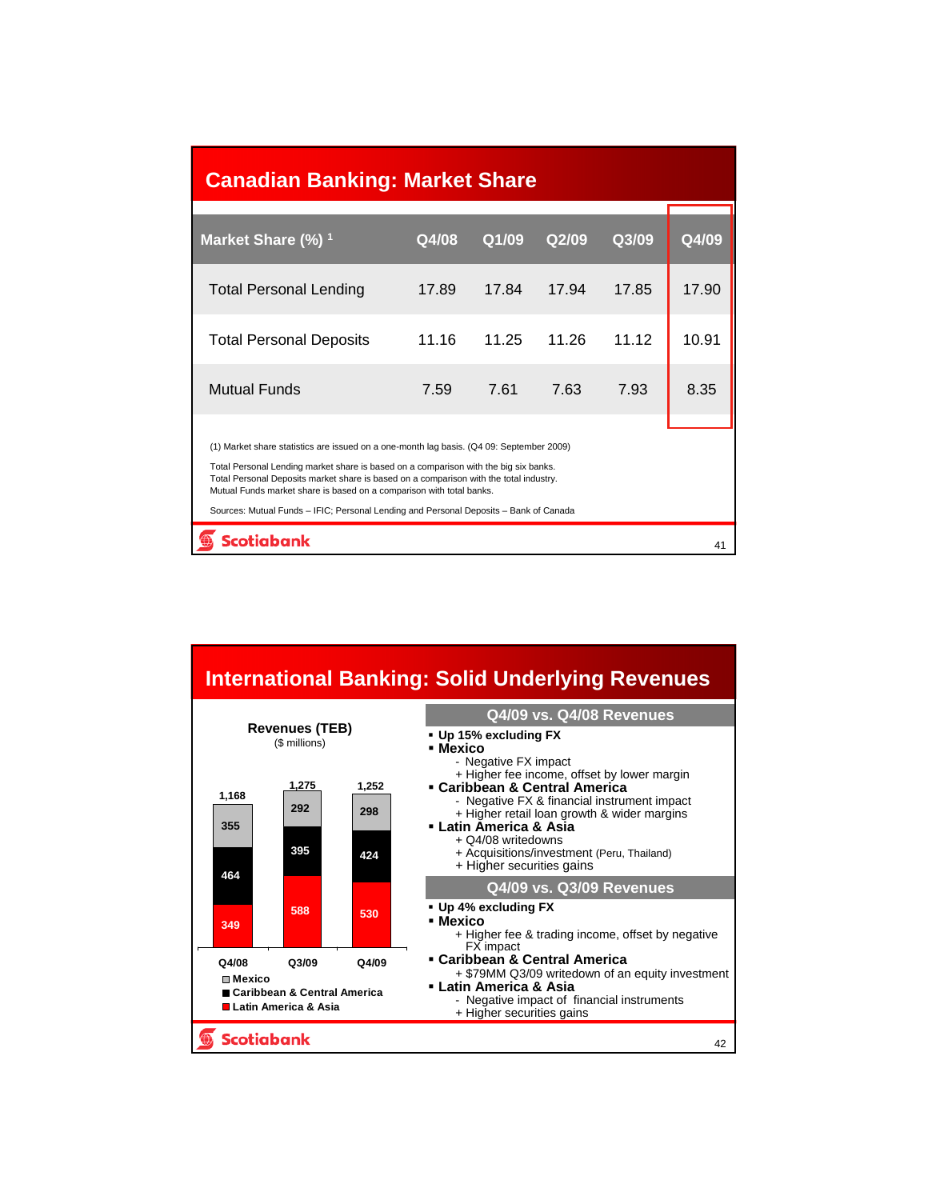| <b>Canadian Banking: Market Share</b>                                                                                                                                                                                                                                                                                                                                                                                                       |       |       |       |       |       |  |  |  |  |
|---------------------------------------------------------------------------------------------------------------------------------------------------------------------------------------------------------------------------------------------------------------------------------------------------------------------------------------------------------------------------------------------------------------------------------------------|-------|-------|-------|-------|-------|--|--|--|--|
| Market Share (%) <sup>1</sup>                                                                                                                                                                                                                                                                                                                                                                                                               | Q4/08 | Q1/09 | Q2/09 | Q3/09 | Q4/09 |  |  |  |  |
| Total Personal Lending                                                                                                                                                                                                                                                                                                                                                                                                                      | 17.89 | 17.84 | 17.94 | 17.85 | 17.90 |  |  |  |  |
| <b>Total Personal Deposits</b>                                                                                                                                                                                                                                                                                                                                                                                                              | 11.16 | 11.25 | 11.26 | 11.12 | 10.91 |  |  |  |  |
| <b>Mutual Funds</b>                                                                                                                                                                                                                                                                                                                                                                                                                         | 7.59  | 7.61  | 7.63  | 7.93  | 8.35  |  |  |  |  |
| (1) Market share statistics are issued on a one-month lag basis. (Q4 09: September 2009)<br>Total Personal Lending market share is based on a comparison with the big six banks.<br>Total Personal Deposits market share is based on a comparison with the total industry.<br>Mutual Funds market share is based on a comparison with total banks.<br>Sources: Mutual Funds - IFIC; Personal Lending and Personal Deposits - Bank of Canada |       |       |       |       |       |  |  |  |  |
| Scotiabank                                                                                                                                                                                                                                                                                                                                                                                                                                  |       |       | 41    |       |       |  |  |  |  |

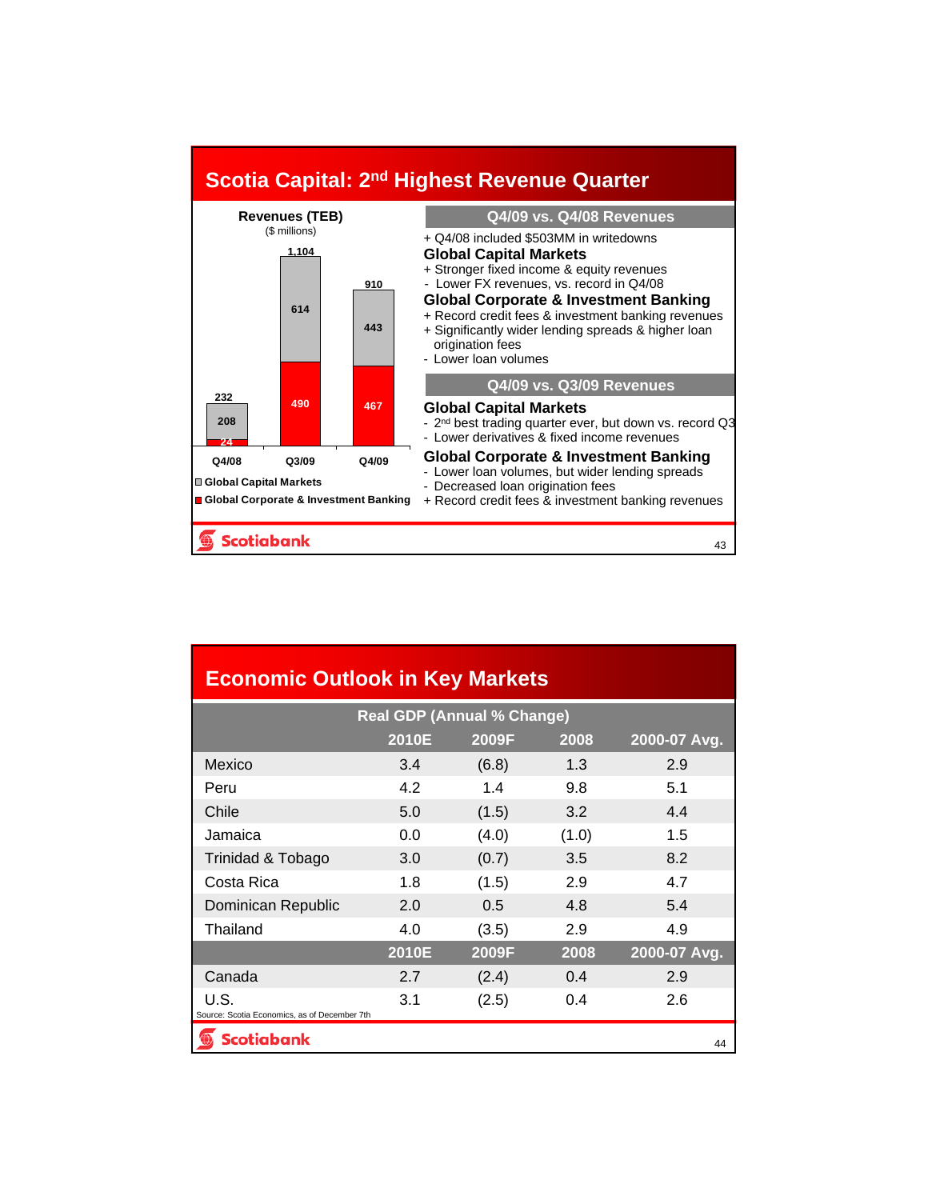

| <b>Economic Outlook in Key Markets</b>               |       |       |       |              |  |  |  |
|------------------------------------------------------|-------|-------|-------|--------------|--|--|--|
| <b>Real GDP (Annual % Change)</b>                    |       |       |       |              |  |  |  |
| 2010E<br>2009F<br>2000-07 Avg.<br>2008               |       |       |       |              |  |  |  |
| Mexico                                               | 3.4   | (6.8) | 1.3   | 2.9          |  |  |  |
| Peru                                                 | 4.2   | 1.4   | 9.8   | 5.1          |  |  |  |
| Chile                                                | 5.0   | (1.5) | 3.2   | 4.4          |  |  |  |
| Jamaica                                              | 0.0   | (4.0) | (1.0) | 1.5          |  |  |  |
| Trinidad & Tobago                                    | 3.0   | (0.7) | 3.5   | 8.2          |  |  |  |
| Costa Rica                                           | 1.8   | (1.5) | 2.9   | 4.7          |  |  |  |
| Dominican Republic                                   | 2.0   | 0.5   | 4.8   | 5.4          |  |  |  |
| Thailand                                             | 4.0   | (3.5) | 2.9   | 4.9          |  |  |  |
|                                                      | 2010E | 2009F | 2008  | 2000-07 Avg. |  |  |  |
| Canada                                               | 2.7   | (2.4) | 0.4   | 2.9          |  |  |  |
| U.S.<br>Source: Scotia Economics, as of December 7th | 3.1   | (2.5) | 0.4   | 2.6          |  |  |  |
| <b>Scotiabank</b><br>44                              |       |       |       |              |  |  |  |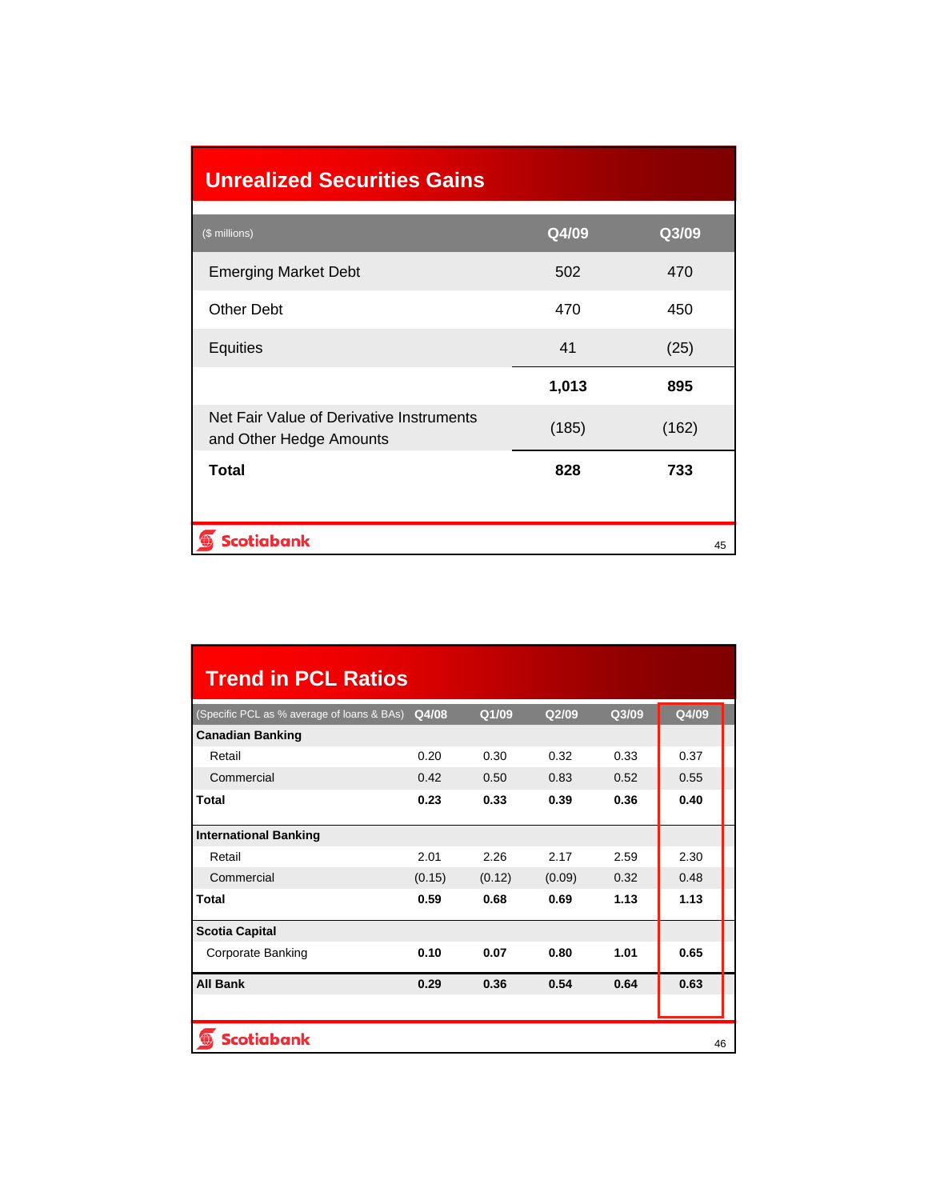|  | <b>Unrealized Securities Gains</b> |  |
|--|------------------------------------|--|
|  |                                    |  |
|  |                                    |  |

| (\$ millions)                                                       | Q4/09 | Q3/09 |
|---------------------------------------------------------------------|-------|-------|
| <b>Emerging Market Debt</b>                                         | 502   | 470   |
| <b>Other Debt</b>                                                   | 470   | 450   |
| Equities                                                            | 41    | (25)  |
|                                                                     | 1,013 | 895   |
| Net Fair Value of Derivative Instruments<br>and Other Hedge Amounts | (185) | (162) |
| Total                                                               | 828   | 733   |
|                                                                     |       |       |
| <b>Scotiabank</b>                                                   |       | 45    |

| <b>Trend in PCL Ratios</b>                 |        |        |        |       |       |    |
|--------------------------------------------|--------|--------|--------|-------|-------|----|
| (Specific PCL as % average of loans & BAs) | Q4/08  | Q1/09  | Q2/09  | Q3/09 | Q4/09 |    |
| <b>Canadian Banking</b>                    |        |        |        |       |       |    |
| Retail                                     | 0.20   | 0.30   | 0.32   | 0.33  | 0.37  |    |
| Commercial                                 | 0.42   | 0.50   | 0.83   | 0.52  | 0.55  |    |
| Total                                      | 0.23   | 0.33   | 0.39   | 0.36  | 0.40  |    |
| <b>International Banking</b>               |        |        |        |       |       |    |
| Retail                                     | 2.01   | 2.26   | 2.17   | 2.59  | 2.30  |    |
| Commercial                                 | (0.15) | (0.12) | (0.09) | 0.32  | 0.48  |    |
| Total                                      | 0.59   | 0.68   | 0.69   | 1.13  | 1.13  |    |
| <b>Scotia Capital</b>                      |        |        |        |       |       |    |
| Corporate Banking                          | 0.10   | 0.07   | 0.80   | 1.01  | 0.65  |    |
| All Bank                                   | 0.29   | 0.36   | 0.54   | 0.64  | 0.63  |    |
| <b>Scotiabank</b>                          |        |        |        |       |       | 46 |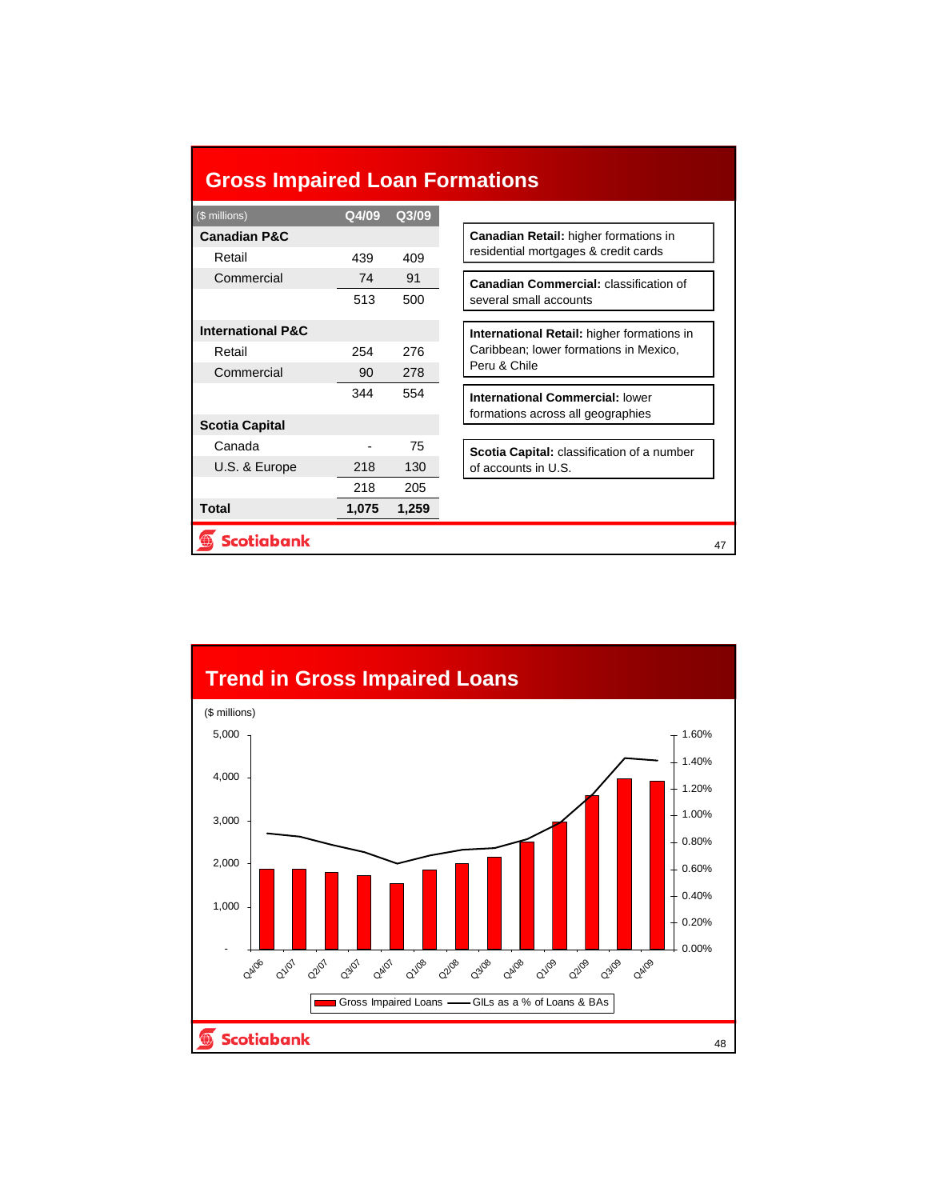|  | <b>Gross Impaired Loan Formations</b> |
|--|---------------------------------------|
|  |                                       |

| (\$ millions)                | Q4/09 | Q3/09 |                                                                             |
|------------------------------|-------|-------|-----------------------------------------------------------------------------|
| <b>Canadian P&amp;C</b>      |       |       | <b>Canadian Retail: higher formations in</b>                                |
| Retail                       | 439   | 409   | residential mortgages & credit cards                                        |
| Commercial                   | 74    | 91    | <b>Canadian Commercial: classification of</b>                               |
|                              | 513   | 500   | several small accounts                                                      |
| <b>International P&amp;C</b> |       |       | <b>International Retail:</b> higher formations in                           |
| Retail                       | 254   | 276   | Caribbean; lower formations in Mexico,                                      |
| Commercial                   | 90    | 278   | Peru & Chile                                                                |
|                              | 344   | 554   | <b>International Commercial: lower</b><br>formations across all geographies |
| <b>Scotia Capital</b>        |       |       |                                                                             |
| Canada                       |       | 75    | Scotia Capital: classification of a number                                  |
| U.S. & Europe                | 218   | 130   | of accounts in U.S.                                                         |
|                              | 218   | 205   |                                                                             |
| Total                        | 1,075 | 1,259 |                                                                             |
| Scotiabank                   |       |       |                                                                             |

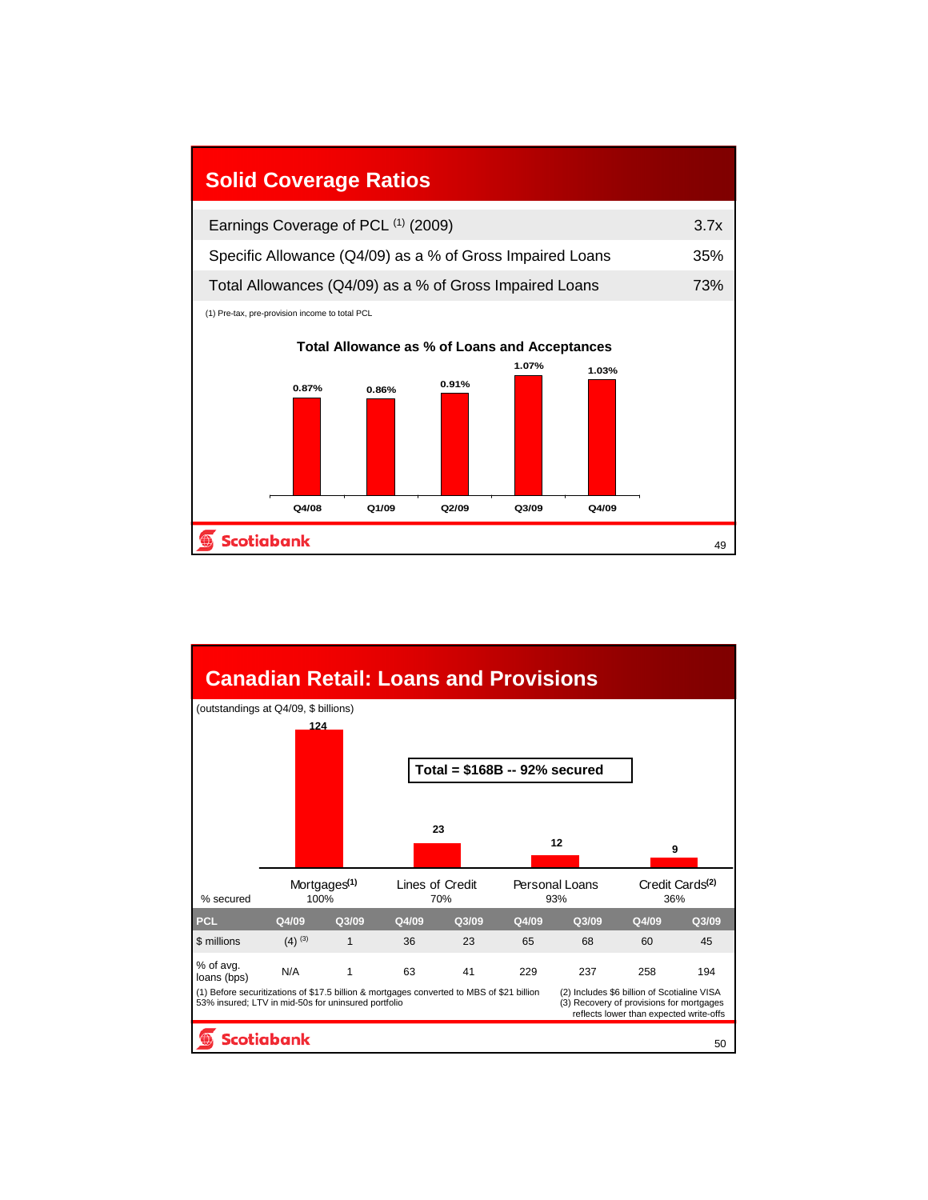

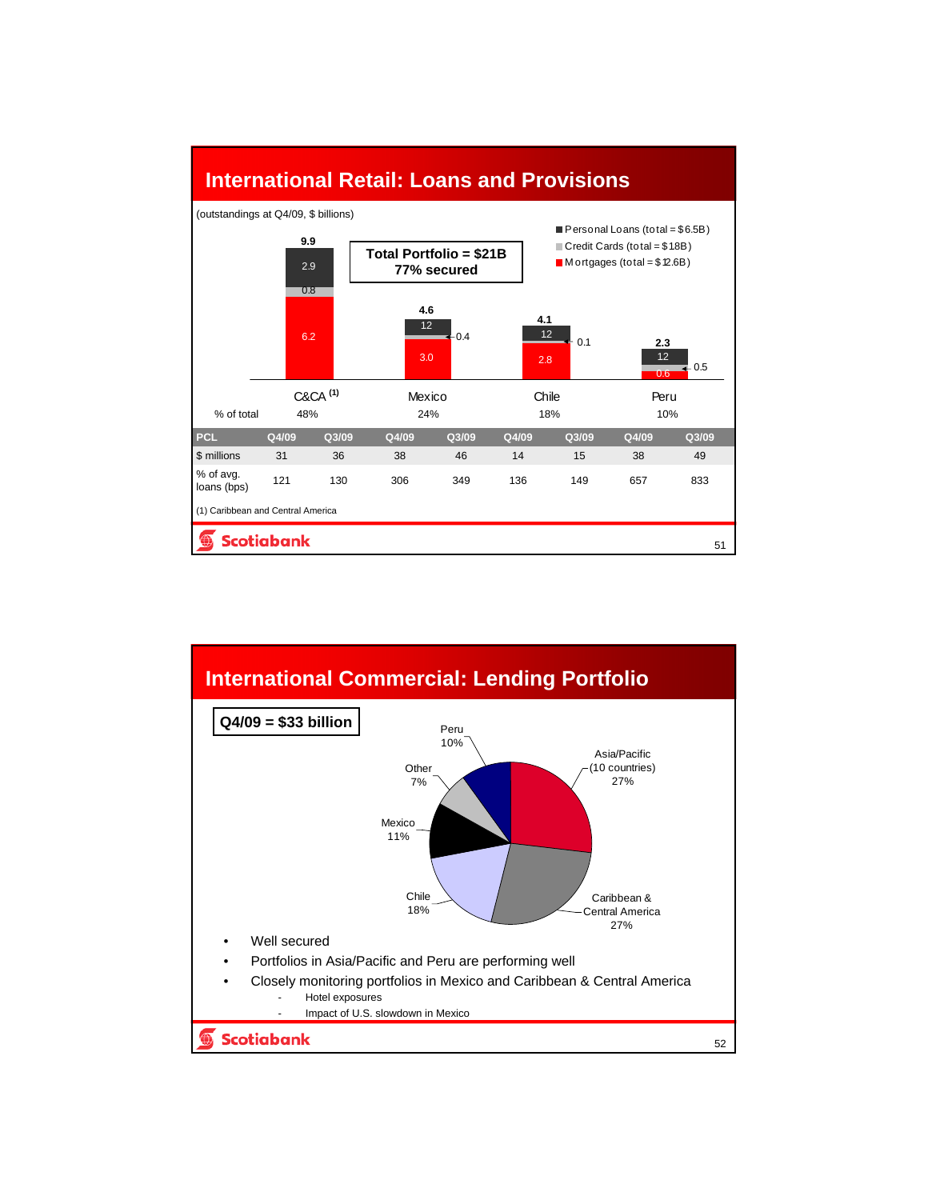

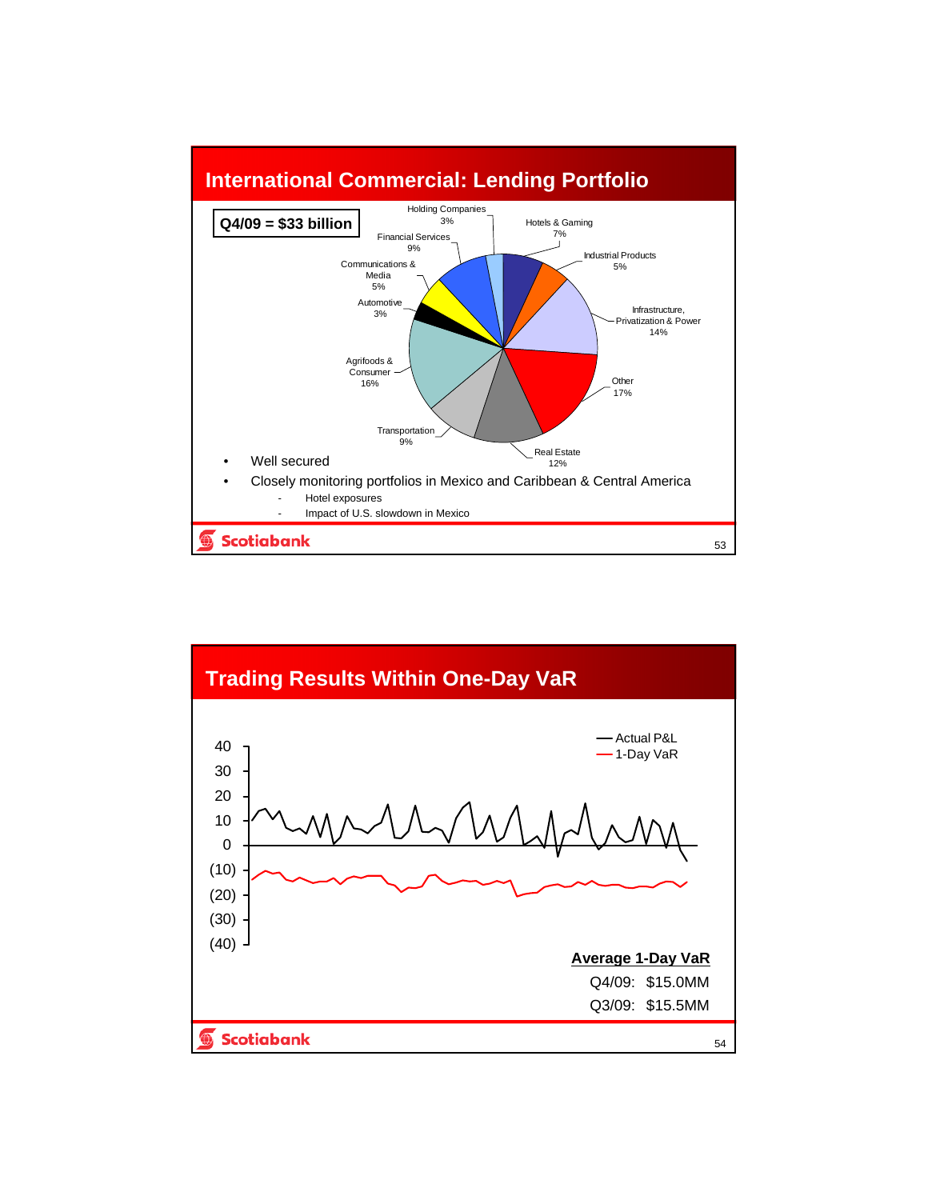